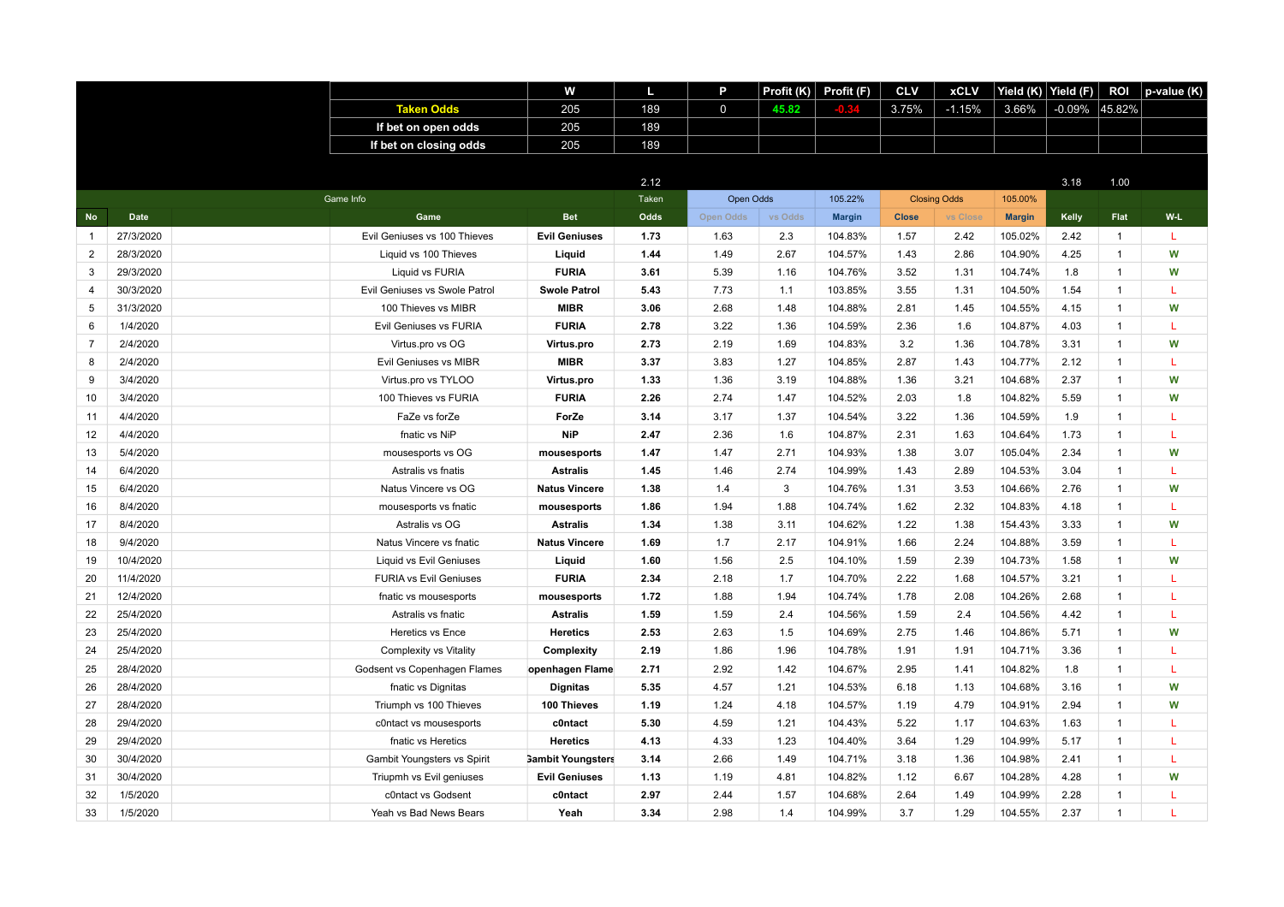|                |             |                               | W                        | Ш     | P                | Profit (K) | Profit (F)    | <b>CLV</b>   | <b>xCLV</b>         | Yield $(K)$   | Yield (F) | <b>ROI</b>   | p-value (K) |
|----------------|-------------|-------------------------------|--------------------------|-------|------------------|------------|---------------|--------------|---------------------|---------------|-----------|--------------|-------------|
|                |             | <b>Taken Odds</b>             | 205                      | 189   | $\mathbf 0$      | 45.82      |               | 3.75%        | $-1.15%$            | 3.66%         | $-0.09\%$ | 45.82%       |             |
|                |             | If bet on open odds           | 205                      | 189   |                  |            |               |              |                     |               |           |              |             |
|                |             | If bet on closing odds        | 205                      | 189   |                  |            |               |              |                     |               |           |              |             |
|                |             |                               |                          |       |                  |            |               |              |                     |               |           |              |             |
|                |             |                               |                          | 2.12  |                  |            |               |              |                     |               | 3.18      | 1.00         |             |
|                |             | Game Info                     |                          | Taken | Open Odds        |            | 105.22%       |              | <b>Closing Odds</b> | 105.00%       |           |              |             |
| <b>No</b>      | <b>Date</b> | Game                          | <b>Bet</b>               | Odds  | <b>Open Odds</b> | vs Odds    | <b>Margin</b> | <b>Close</b> | vs Close            | <b>Margin</b> | Kelly     | Flat         | W-L         |
| $\overline{1}$ | 27/3/2020   | Evil Geniuses vs 100 Thieves  | <b>Evil Geniuses</b>     | 1.73  | 1.63             | 2.3        | 104.83%       | 1.57         | 2.42                | 105.02%       | 2.42      | $\mathbf{1}$ | L           |
| 2              | 28/3/2020   | Liquid vs 100 Thieves         | Liquid                   | 1.44  | 1.49             | 2.67       | 104.57%       | 1.43         | 2.86                | 104.90%       | 4.25      | $\mathbf{1}$ | W           |
| 3              | 29/3/2020   | Liquid vs FURIA               | <b>FURIA</b>             | 3.61  | 5.39             | 1.16       | 104.76%       | 3.52         | 1.31                | 104.74%       | 1.8       | $\mathbf{1}$ | W           |
| $\overline{4}$ | 30/3/2020   | Evil Geniuses vs Swole Patrol | <b>Swole Patrol</b>      | 5.43  | 7.73             | 1.1        | 103.85%       | 3.55         | 1.31                | 104.50%       | 1.54      | $\mathbf{1}$ | L           |
| 5              | 31/3/2020   | 100 Thieves vs MIBR           | <b>MIBR</b>              | 3.06  | 2.68             | 1.48       | 104.88%       | 2.81         | 1.45                | 104.55%       | 4.15      | $\mathbf{1}$ | W           |
| 6              | 1/4/2020    | Evil Geniuses vs FURIA        | <b>FURIA</b>             | 2.78  | 3.22             | 1.36       | 104.59%       | 2.36         | 1.6                 | 104.87%       | 4.03      | $\mathbf{1}$ | L           |
| $\overline{7}$ | 2/4/2020    | Virtus.pro vs OG              | Virtus.pro               | 2.73  | 2.19             | 1.69       | 104.83%       | 3.2          | 1.36                | 104.78%       | 3.31      | $\mathbf{1}$ | W           |
| 8              | 2/4/2020    | <b>Evil Geniuses vs MIBR</b>  | <b>MIBR</b>              | 3.37  | 3.83             | 1.27       | 104.85%       | 2.87         | 1.43                | 104.77%       | 2.12      | $\mathbf{1}$ | L           |
| $\mathbf{Q}$   | 3/4/2020    | Virtus.pro vs TYLOO           | Virtus.pro               | 1.33  | 1.36             | 3.19       | 104.88%       | 1.36         | 3.21                | 104.68%       | 2.37      | $\mathbf{1}$ | W           |
| 10             | 3/4/2020    | 100 Thieves vs FURIA          | <b>FURIA</b>             | 2.26  | 2.74             | 1.47       | 104.52%       | 2.03         | 1.8                 | 104.82%       | 5.59      | $\mathbf{1}$ | W           |
| 11             | 4/4/2020    | FaZe vs forZe                 | ForZe                    | 3.14  | 3.17             | 1.37       | 104.54%       | 3.22         | 1.36                | 104.59%       | 1.9       | $\mathbf{1}$ | T.          |
| 12             | 4/4/2020    | fnatic vs NiP                 | <b>NiP</b>               | 2.47  | 2.36             | 1.6        | 104.87%       | 2.31         | 1.63                | 104.64%       | 1.73      | $\mathbf{1}$ | L           |
| 13             | 5/4/2020    | mousesports vs OG             | mousesports              | 1.47  | 1.47             | 2.71       | 104.93%       | 1.38         | 3.07                | 105.04%       | 2.34      | $\mathbf{1}$ | W           |
| 14             | 6/4/2020    | Astralis vs fnatis            | <b>Astralis</b>          | 1.45  | 1.46             | 2.74       | 104.99%       | 1.43         | 2.89                | 104.53%       | 3.04      | $\mathbf{1}$ | T           |
| 15             | 6/4/2020    | Natus Vincere vs OG           | <b>Natus Vincere</b>     | 1.38  | 1.4              | 3          | 104.76%       | 1.31         | 3.53                | 104.66%       | 2.76      | 1            | W           |
| 16             | 8/4/2020    | mousesports vs fnatic         | mousesports              | 1.86  | 1.94             | 1.88       | 104.74%       | 1.62         | 2.32                | 104.83%       | 4.18      | $\mathbf{1}$ | L           |
| 17             | 8/4/2020    | Astralis vs OG                | <b>Astralis</b>          | 1.34  | 1.38             | 3.11       | 104.62%       | 1.22         | 1.38                | 154.43%       | 3.33      | $\mathbf{1}$ | W           |
| 18             | 9/4/2020    | Natus Vincere vs fnatic       | <b>Natus Vincere</b>     | 1.69  | 1.7              | 2.17       | 104.91%       | 1.66         | 2.24                | 104.88%       | 3.59      | $\mathbf{1}$ | L           |
| 19             | 10/4/2020   | Liquid vs Evil Geniuses       | Liquid                   | 1.60  | 1.56             | 2.5        | 104.10%       | 1.59         | 2.39                | 104.73%       | 1.58      | $\mathbf{1}$ | W           |
| 20             | 11/4/2020   | <b>FURIA vs Evil Geniuses</b> | <b>FURIA</b>             | 2.34  | 2.18             | 1.7        | 104.70%       | 2.22         | 1.68                | 104.57%       | 3.21      | $\mathbf{1}$ | L           |
| 21             | 12/4/2020   | fnatic vs mousesports         | mousesports              | 1.72  | 1.88             | 1.94       | 104.74%       | 1.78         | 2.08                | 104.26%       | 2.68      | $\mathbf{1}$ | L           |
| 22             | 25/4/2020   | Astralis vs fnatic            | <b>Astralis</b>          | 1.59  | 1.59             | 2.4        | 104.56%       | 1.59         | 2.4                 | 104.56%       | 4.42      | $\mathbf{1}$ | L           |
| 23             | 25/4/2020   | <b>Heretics vs Ence</b>       | <b>Heretics</b>          | 2.53  | 2.63             | 1.5        | 104.69%       | 2.75         | 1.46                | 104.86%       | 5.71      | $\mathbf{1}$ | W           |
| 24             | 25/4/2020   | <b>Complexity vs Vitality</b> | Complexity               | 2.19  | 1.86             | 1.96       | 104.78%       | 1.91         | 1.91                | 104.71%       | 3.36      | $\mathbf{1}$ | L           |
| 25             | 28/4/2020   | Godsent vs Copenhagen Flames  | openhagen Flame          | 2.71  | 2.92             | 1.42       | 104.67%       | 2.95         | 1.41                | 104.82%       | 1.8       | $\mathbf{1}$ | L           |
| 26             | 28/4/2020   | fnatic vs Dignitas            | <b>Dignitas</b>          | 5.35  | 4.57             | 1.21       | 104.53%       | 6.18         | 1.13                | 104.68%       | 3.16      | $\mathbf{1}$ | W           |
| 27             | 28/4/2020   | Triumph vs 100 Thieves        | 100 Thieves              | 1.19  | 1.24             | 4.18       | 104.57%       | 1.19         | 4.79                | 104.91%       | 2.94      | $\mathbf{1}$ | W           |
| 28             | 29/4/2020   | c0ntact vs mousesports        | c0ntact                  | 5.30  | 4.59             | 1.21       | 104.43%       | 5.22         | 1.17                | 104.63%       | 1.63      | $\mathbf{1}$ | L           |
| 29             | 29/4/2020   | fnatic vs Heretics            | <b>Heretics</b>          | 4.13  | 4.33             | 1.23       | 104.40%       | 3.64         | 1.29                | 104.99%       | 5.17      | $\mathbf{1}$ | L           |
| 30             | 30/4/2020   | Gambit Youngsters vs Spirit   | <b>Gambit Youngsters</b> | 3.14  | 2.66             | 1.49       | 104.71%       | 3.18         | 1.36                | 104.98%       | 2.41      | $\mathbf{1}$ | T.          |
| 31             | 30/4/2020   | Triupmh vs Evil geniuses      | <b>Evil Geniuses</b>     | 1.13  | 1.19             | 4.81       | 104.82%       | 1.12         | 6.67                | 104.28%       | 4.28      | $\mathbf{1}$ | W           |
| 32             | 1/5/2020    | c0ntact vs Godsent            | c0ntact                  | 2.97  | 2.44             | 1.57       | 104.68%       | 2.64         | 1.49                | 104.99%       | 2.28      | $\mathbf{1}$ | L           |
| 33             | 1/5/2020    | Yeah vs Bad News Bears        | Yeah                     | 3.34  | 2.98             | 1.4        | 104.99%       | 3.7          | 1.29                | 104.55%       | 2.37      | $\mathbf{1}$ | т           |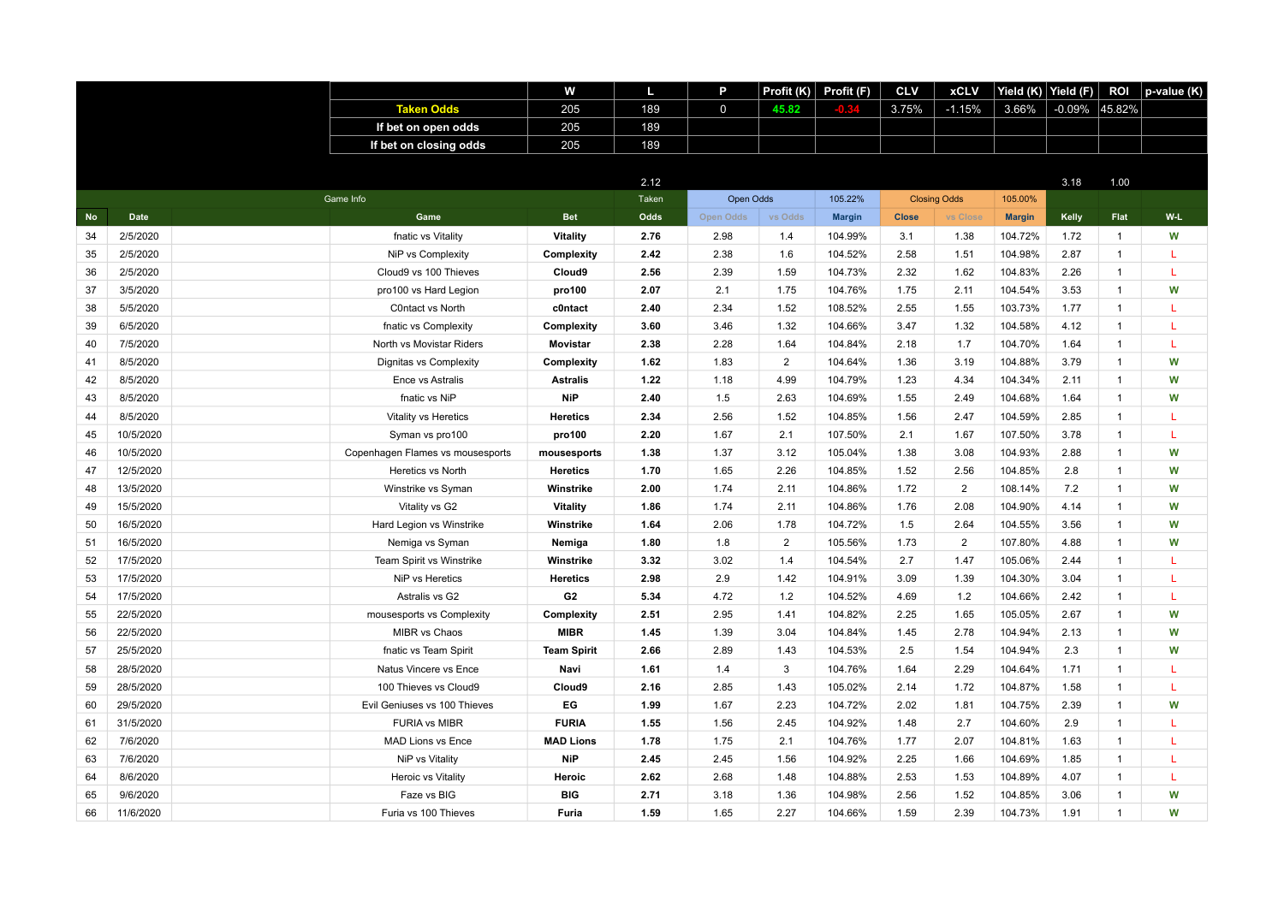|           |             |                                  | w                  | п     | P                | Profit (K)     | Profit (F)    | <b>CLV</b>   | <b>xCLV</b>         | Yield $(K)$   | Yield (F) | <b>ROI</b>   | p-value (K) |
|-----------|-------------|----------------------------------|--------------------|-------|------------------|----------------|---------------|--------------|---------------------|---------------|-----------|--------------|-------------|
|           |             | <b>Taken Odds</b>                | 205                | 189   | $\mathbf 0$      | 45.82          |               | 3.75%        | $-1.15%$            | 3.66%         | -0.09%    | 45.82%       |             |
|           |             | If bet on open odds              | 205                | 189   |                  |                |               |              |                     |               |           |              |             |
|           |             | If bet on closing odds           | 205                | 189   |                  |                |               |              |                     |               |           |              |             |
|           |             |                                  |                    |       |                  |                |               |              |                     |               |           |              |             |
|           |             |                                  |                    | 2.12  |                  |                |               |              |                     |               | 3.18      | 1.00         |             |
|           |             | Game Info                        |                    | Taken | Open Odds        |                | 105.22%       |              | <b>Closing Odds</b> | 105.00%       |           |              |             |
| <b>No</b> | <b>Date</b> | Game                             | <b>Bet</b>         | Odds  | <b>Open Odds</b> | vs Odds        | <b>Margin</b> | <b>Close</b> | vs Close            | <b>Margin</b> | Kelly     | Flat         | W-L         |
| 34        | 2/5/2020    | fnatic vs Vitality               | Vitality           | 2.76  | 2.98             | 1.4            | 104.99%       | 3.1          | 1.38                | 104.72%       | 1.72      | $\mathbf{1}$ | W           |
| 35        | 2/5/2020    | NiP vs Complexity                | Complexity         | 2.42  | 2.38             | 1.6            | 104.52%       | 2.58         | 1.51                | 104.98%       | 2.87      | $\mathbf{1}$ | L           |
| 36        | 2/5/2020    | Cloud9 vs 100 Thieves            | Cloud9             | 2.56  | 2.39             | 1.59           | 104.73%       | 2.32         | 1.62                | 104.83%       | 2.26      | $\mathbf{1}$ | т           |
| 37        | 3/5/2020    | pro100 vs Hard Legion            | pro100             | 2.07  | 2.1              | 1.75           | 104.76%       | 1.75         | 2.11                | 104.54%       | 3.53      | $\mathbf{1}$ | W           |
| 38        | 5/5/2020    | C0ntact vs North                 | c0ntact            | 2.40  | 2.34             | 1.52           | 108.52%       | 2.55         | 1.55                | 103.73%       | 1.77      | $\mathbf{1}$ | L           |
| 39        | 6/5/2020    | fnatic vs Complexity             | Complexity         | 3.60  | 3.46             | 1.32           | 104.66%       | 3.47         | 1.32                | 104.58%       | 4.12      | $\mathbf{1}$ | L           |
| 40        | 7/5/2020    | North vs Movistar Riders         | <b>Movistar</b>    | 2.38  | 2.28             | 1.64           | 104.84%       | 2.18         | 1.7                 | 104.70%       | 1.64      | $\mathbf{1}$ | L           |
| 41        | 8/5/2020    | Dignitas vs Complexity           | Complexity         | 1.62  | 1.83             | $\overline{2}$ | 104.64%       | 1.36         | 3.19                | 104.88%       | 3.79      | $\mathbf{1}$ | W           |
| 42        | 8/5/2020    | Ence vs Astralis                 | <b>Astralis</b>    | 1.22  | 1.18             | 4.99           | 104.79%       | 1.23         | 4.34                | 104.34%       | 2.11      | $\mathbf{1}$ | W           |
| 43        | 8/5/2020    | fnatic vs NiP                    | <b>NiP</b>         | 2.40  | 1.5              | 2.63           | 104.69%       | 1.55         | 2.49                | 104.68%       | 1.64      | $\mathbf{1}$ | W           |
| 44        | 8/5/2020    | Vitality vs Heretics             | <b>Heretics</b>    | 2.34  | 2.56             | 1.52           | 104.85%       | 1.56         | 2.47                | 104.59%       | 2.85      | $\mathbf{1}$ | L           |
| 45        | 10/5/2020   | Syman vs pro100                  | pro100             | 2.20  | 1.67             | 2.1            | 107.50%       | 2.1          | 1.67                | 107.50%       | 3.78      | $\mathbf{1}$ | L           |
| 46        | 10/5/2020   | Copenhagen Flames vs mousesports | mousesports        | 1.38  | 1.37             | 3.12           | 105.04%       | 1.38         | 3.08                | 104.93%       | 2.88      | $\mathbf{1}$ | W           |
| 47        | 12/5/2020   | Heretics vs North                | <b>Heretics</b>    | 1.70  | 1.65             | 2.26           | 104.85%       | 1.52         | 2.56                | 104.85%       | 2.8       | $\mathbf{1}$ | W           |
| 48        | 13/5/2020   | Winstrike vs Syman               | Winstrike          | 2.00  | 1.74             | 2.11           | 104.86%       | 1.72         | $\overline{2}$      | 108.14%       | 7.2       | $\mathbf{1}$ | W           |
| 49        | 15/5/2020   | Vitality vs G2                   | Vitality           | 1.86  | 1.74             | 2.11           | 104.86%       | 1.76         | 2.08                | 104.90%       | 4.14      | $\mathbf{1}$ | W           |
| 50        | 16/5/2020   | Hard Legion vs Winstrike         | Winstrike          | 1.64  | 2.06             | 1.78           | 104.72%       | 1.5          | 2.64                | 104.55%       | 3.56      | $\mathbf{1}$ | W           |
| 51        | 16/5/2020   | Nemiga vs Syman                  | Nemiga             | 1.80  | 1.8              | $\overline{2}$ | 105.56%       | 1.73         | $\overline{2}$      | 107.80%       | 4.88      | $\mathbf{1}$ | W           |
| 52        | 17/5/2020   | Team Spirit vs Winstrike         | Winstrike          | 3.32  | 3.02             | 1.4            | 104.54%       | 2.7          | 1.47                | 105.06%       | 2.44      | $\mathbf{1}$ | L           |
| 53        | 17/5/2020   | NiP vs Heretics                  | <b>Heretics</b>    | 2.98  | 2.9              | 1.42           | 104.91%       | 3.09         | 1.39                | 104.30%       | 3.04      | $\mathbf{1}$ | L           |
| 54        | 17/5/2020   | Astralis vs G2                   | G <sub>2</sub>     | 5.34  | 4.72             | 1.2            | 104.52%       | 4.69         | $1.2$               | 104.66%       | 2.42      | $\mathbf{1}$ | L           |
| 55        | 22/5/2020   | mousesports vs Complexity        | Complexity         | 2.51  | 2.95             | 1.41           | 104.82%       | 2.25         | 1.65                | 105.05%       | 2.67      | $\mathbf{1}$ | W           |
| 56        | 22/5/2020   | MIBR vs Chaos                    | <b>MIBR</b>        | 1.45  | 1.39             | 3.04           | 104.84%       | 1.45         | 2.78                | 104.94%       | 2.13      | $\mathbf{1}$ | W           |
| 57        | 25/5/2020   | fnatic vs Team Spirit            | <b>Team Spirit</b> | 2.66  | 2.89             | 1.43           | 104.53%       | 2.5          | 1.54                | 104.94%       | 2.3       | $\mathbf{1}$ | W           |
| 58        | 28/5/2020   | Natus Vincere vs Ence            | Navi               | 1.61  | 1.4              | 3              | 104.76%       | 1.64         | 2.29                | 104.64%       | 1.71      | $\mathbf{1}$ | T           |
| 59        | 28/5/2020   | 100 Thieves vs Cloud9            | Cloud9             | 2.16  | 2.85             | 1.43           | 105.02%       | 2.14         | 1.72                | 104.87%       | 1.58      | $\mathbf{1}$ | L           |
| 60        | 29/5/2020   | Evil Geniuses vs 100 Thieves     | EG                 | 1.99  | 1.67             | 2.23           | 104.72%       | 2.02         | 1.81                | 104.75%       | 2.39      | $\mathbf{1}$ | W           |
| 61        | 31/5/2020   | <b>FURIA vs MIBR</b>             | <b>FURIA</b>       | 1.55  | 1.56             | 2.45           | 104.92%       | 1.48         | 2.7                 | 104.60%       | 2.9       | $\mathbf{1}$ | L           |
| 62        | 7/6/2020    | <b>MAD Lions vs Ence</b>         | <b>MAD Lions</b>   | 1.78  | 1.75             | 2.1            | 104.76%       | 1.77         | 2.07                | 104.81%       | 1.63      | $\mathbf{1}$ | L           |
| 63        | 7/6/2020    | NiP vs Vitality                  | <b>NiP</b>         | 2.45  | 2.45             | 1.56           | 104.92%       | 2.25         | 1.66                | 104.69%       | 1.85      | $\mathbf{1}$ | L           |
| 64        | 8/6/2020    | Heroic vs Vitality               | Heroic             | 2.62  | 2.68             | 1.48           | 104.88%       | 2.53         | 1.53                | 104.89%       | 4.07      | $\mathbf{1}$ | L           |
| 65        | 9/6/2020    | Faze vs BIG                      | <b>BIG</b>         | 2.71  | 3.18             | 1.36           | 104.98%       | 2.56         | 1.52                | 104.85%       | 3.06      | 1            | W           |
| 66        | 11/6/2020   | Furia vs 100 Thieves             | <b>Furia</b>       | 1.59  | 1.65             | 2.27           | 104.66%       | 1.59         | 2.39                | 104.73%       | 1.91      | $\mathbf{1}$ | W           |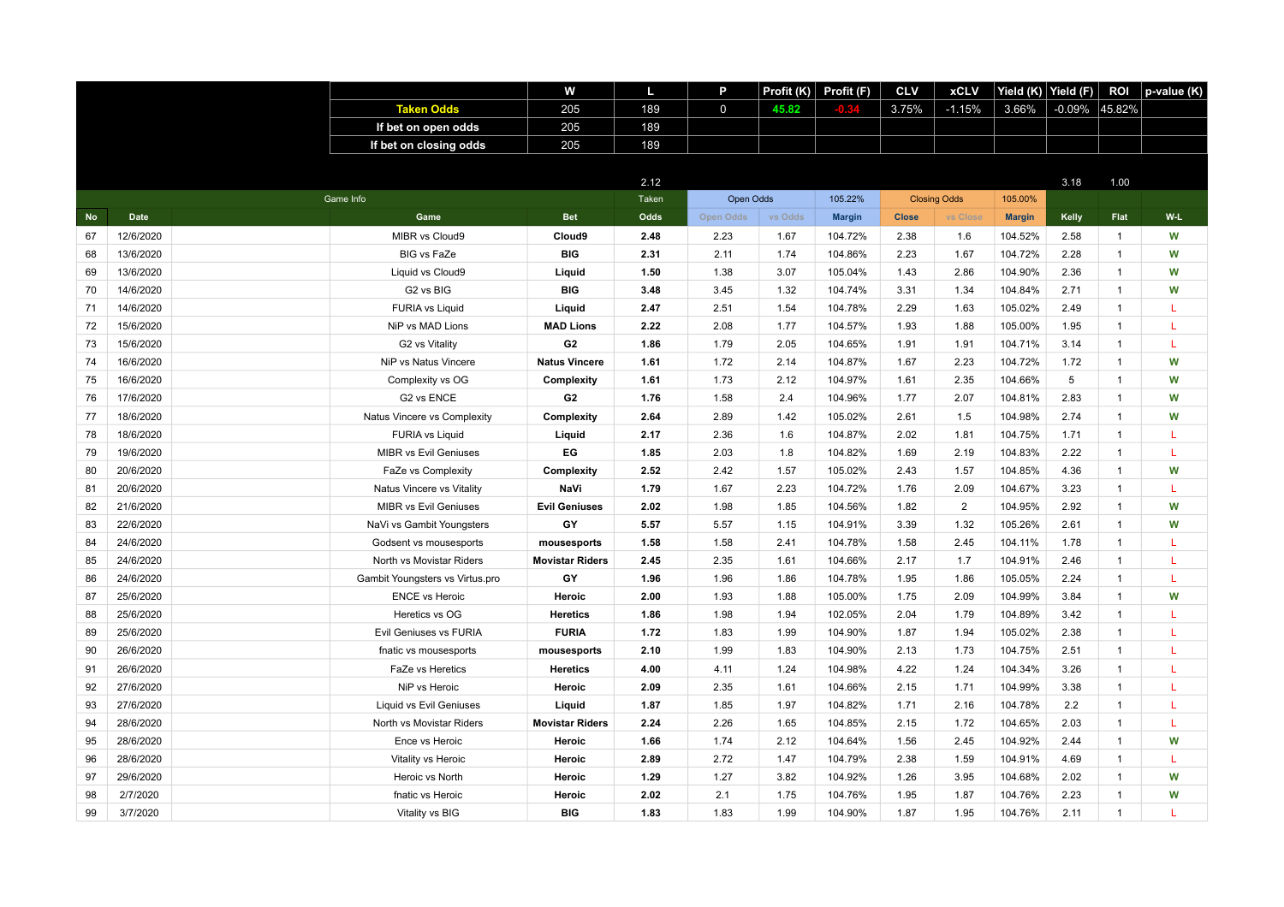|           |             |                                 | w                      | п     | P                | Profit (K) | Profit (F)    | <b>CLV</b>   | <b>xCLV</b>         | Yield $(K)$   | Yield (F) | <b>ROI</b>   | p-value (K) |
|-----------|-------------|---------------------------------|------------------------|-------|------------------|------------|---------------|--------------|---------------------|---------------|-----------|--------------|-------------|
|           |             | <b>Taken Odds</b>               | 205                    | 189   | $\mathbf 0$      | 45.82      |               | 3.75%        | $-1.15%$            | 3.66%         | -0.09%    | 45.82%       |             |
|           |             | If bet on open odds             | 205                    | 189   |                  |            |               |              |                     |               |           |              |             |
|           |             | If bet on closing odds          | 205                    | 189   |                  |            |               |              |                     |               |           |              |             |
|           |             |                                 |                        |       |                  |            |               |              |                     |               |           |              |             |
|           |             |                                 |                        | 2.12  |                  |            |               |              |                     |               | 3.18      | 1.00         |             |
|           |             | Game Info                       |                        | Taken | Open Odds        |            | 105.22%       |              | <b>Closing Odds</b> | 105.00%       |           |              |             |
| <b>No</b> | <b>Date</b> | Game                            | <b>Bet</b>             | Odds  | <b>Open Odds</b> | vs Odds    | <b>Margin</b> | <b>Close</b> | vs Close            | <b>Margin</b> | Kelly     | Flat         | W-L         |
| 67        | 12/6/2020   | MIBR vs Cloud9                  | Cloud9                 | 2.48  | 2.23             | 1.67       | 104.72%       | 2.38         | 1.6                 | 104.52%       | 2.58      | $\mathbf{1}$ | W           |
| 68        | 13/6/2020   | <b>BIG vs FaZe</b>              | <b>BIG</b>             | 2.31  | 2.11             | 1.74       | 104.86%       | 2.23         | 1.67                | 104.72%       | 2.28      | $\mathbf{1}$ | W           |
| 69        | 13/6/2020   | Liquid vs Cloud9                | Liquid                 | 1.50  | 1.38             | 3.07       | 105.04%       | 1.43         | 2.86                | 104.90%       | 2.36      | $\mathbf{1}$ | W           |
| 70        | 14/6/2020   | G2 vs BIG                       | <b>BIG</b>             | 3.48  | 3.45             | 1.32       | 104.74%       | 3.31         | 1.34                | 104.84%       | 2.71      | $\mathbf{1}$ | W           |
| 71        | 14/6/2020   | <b>FURIA vs Liquid</b>          | Liquid                 | 2.47  | 2.51             | 1.54       | 104.78%       | 2.29         | 1.63                | 105.02%       | 2.49      | $\mathbf{1}$ | L           |
| 72        | 15/6/2020   | NiP vs MAD Lions                | <b>MAD Lions</b>       | 2.22  | 2.08             | 1.77       | 104.57%       | 1.93         | 1.88                | 105.00%       | 1.95      | $\mathbf{1}$ | L           |
| 73        | 15/6/2020   | G2 vs Vitality                  | G <sub>2</sub>         | 1.86  | 1.79             | 2.05       | 104.65%       | 1.91         | 1.91                | 104.71%       | 3.14      | $\mathbf{1}$ | L           |
| 74        | 16/6/2020   | NiP vs Natus Vincere            | <b>Natus Vincere</b>   | 1.61  | 1.72             | 2.14       | 104.87%       | 1.67         | 2.23                | 104.72%       | 1.72      | $\mathbf{1}$ | W           |
| 75        | 16/6/2020   | Complexity vs OG                | Complexity             | 1.61  | 1.73             | 2.12       | 104.97%       | 1.61         | 2.35                | 104.66%       | 5         | $\mathbf{1}$ | W           |
| 76        | 17/6/2020   | G2 vs ENCE                      | G <sub>2</sub>         | 1.76  | 1.58             | 2.4        | 104.96%       | 1.77         | 2.07                | 104.81%       | 2.83      | $\mathbf{1}$ | W           |
| 77        | 18/6/2020   | Natus Vincere vs Complexity     | Complexity             | 2.64  | 2.89             | 1.42       | 105.02%       | 2.61         | 1.5                 | 104.98%       | 2.74      | $\mathbf{1}$ | W           |
| 78        | 18/6/2020   | <b>FURIA vs Liquid</b>          | Liquid                 | 2.17  | 2.36             | 1.6        | 104.87%       | 2.02         | 1.81                | 104.75%       | 1.71      | $\mathbf{1}$ | L           |
| 79        | 19/6/2020   | <b>MIBR vs Evil Geniuses</b>    | EG                     | 1.85  | 2.03             | 1.8        | 104.82%       | 1.69         | 2.19                | 104.83%       | 2.22      | $\mathbf{1}$ | L           |
| 80        | 20/6/2020   | FaZe vs Complexity              | Complexity             | 2.52  | 2.42             | 1.57       | 105.02%       | 2.43         | 1.57                | 104.85%       | 4.36      | $\mathbf{1}$ | W           |
| 81        | 20/6/2020   | Natus Vincere vs Vitality       | NaVi                   | 1.79  | 1.67             | 2.23       | 104.72%       | 1.76         | 2.09                | 104.67%       | 3.23      | $\mathbf{1}$ | L           |
| 82        | 21/6/2020   | <b>MIBR vs Evil Geniuses</b>    | <b>Evil Geniuses</b>   | 2.02  | 1.98             | 1.85       | 104.56%       | 1.82         | $\overline{2}$      | 104.95%       | 2.92      | $\mathbf{1}$ | W           |
| 83        | 22/6/2020   | NaVi vs Gambit Youngsters       | GY                     | 5.57  | 5.57             | 1.15       | 104.91%       | 3.39         | 1.32                | 105.26%       | 2.61      | $\mathbf{1}$ | W           |
| 84        | 24/6/2020   | Godsent vs mousesports          | mousesports            | 1.58  | 1.58             | 2.41       | 104.78%       | 1.58         | 2.45                | 104.11%       | 1.78      | $\mathbf{1}$ | L           |
| 85        | 24/6/2020   | North vs Movistar Riders        | <b>Movistar Riders</b> | 2.45  | 2.35             | 1.61       | 104.66%       | 2.17         | 1.7                 | 104.91%       | 2.46      | $\mathbf{1}$ | L           |
| 86        | 24/6/2020   | Gambit Youngsters vs Virtus.pro | GY                     | 1.96  | 1.96             | 1.86       | 104.78%       | 1.95         | 1.86                | 105.05%       | 2.24      | $\mathbf{1}$ | L           |
| 87        | 25/6/2020   | <b>ENCE vs Heroic</b>           | Heroic                 | 2.00  | 1.93             | 1.88       | 105.00%       | 1.75         | 2.09                | 104.99%       | 3.84      | $\mathbf{1}$ | W           |
| 88        | 25/6/2020   | Heretics vs OG                  | <b>Heretics</b>        | 1.86  | 1.98             | 1.94       | 102.05%       | 2.04         | 1.79                | 104.89%       | 3.42      | $\mathbf{1}$ | L           |
| 89        | 25/6/2020   | Evil Geniuses vs FURIA          | <b>FURIA</b>           | 1.72  | 1.83             | 1.99       | 104.90%       | 1.87         | 1.94                | 105.02%       | 2.38      | $\mathbf{1}$ | L           |
| 90        | 26/6/2020   | fnatic vs mousesports           | mousesports            | 2.10  | 1.99             | 1.83       | 104.90%       | 2.13         | 1.73                | 104.75%       | 2.51      | $\mathbf{1}$ | L           |
| 91        | 26/6/2020   | FaZe vs Heretics                | <b>Heretics</b>        | 4.00  | 4.11             | 1.24       | 104.98%       | 4.22         | 1.24                | 104.34%       | 3.26      | $\mathbf{1}$ | T           |
| 92        | 27/6/2020   | NiP vs Heroic                   | Heroic                 | 2.09  | 2.35             | 1.61       | 104.66%       | 2.15         | 1.71                | 104.99%       | 3.38      | $\mathbf{1}$ | L           |
| 93        | 27/6/2020   | <b>Liquid vs Evil Geniuses</b>  | Liquid                 | 1.87  | 1.85             | 1.97       | 104.82%       | 1.71         | 2.16                | 104.78%       | 2.2       | $\mathbf{1}$ | L           |
| 94        | 28/6/2020   | North vs Movistar Riders        | <b>Movistar Riders</b> | 2.24  | 2.26             | 1.65       | 104.85%       | 2.15         | 1.72                | 104.65%       | 2.03      | $\mathbf{1}$ | L           |
| 95        | 28/6/2020   | Ence vs Heroic                  | Heroic                 | 1.66  | 1.74             | 2.12       | 104.64%       | 1.56         | 2.45                | 104.92%       | 2.44      | $\mathbf{1}$ | W           |
| 96        | 28/6/2020   | Vitality vs Heroic              | Heroic                 | 2.89  | 2.72             | 1.47       | 104.79%       | 2.38         | 1.59                | 104.91%       | 4.69      | $\mathbf{1}$ | L           |
| 97        | 29/6/2020   | Heroic vs North                 | Heroic                 | 1.29  | 1.27             | 3.82       | 104.92%       | 1.26         | 3.95                | 104.68%       | 2.02      | $\mathbf{1}$ | W           |
| 98        | 2/7/2020    | fnatic vs Heroic                | Heroic                 | 2.02  | 2.1              | 1.75       | 104.76%       | 1.95         | 1.87                | 104.76%       | 2.23      | 1            | W           |
| 99        | 3/7/2020    | Vitality vs BIG                 | <b>BIG</b>             | 1.83  | 1.83             | 1.99       | 104.90%       | 1.87         | 1.95                | 104.76%       | 2.11      | $\mathbf{1}$ | т           |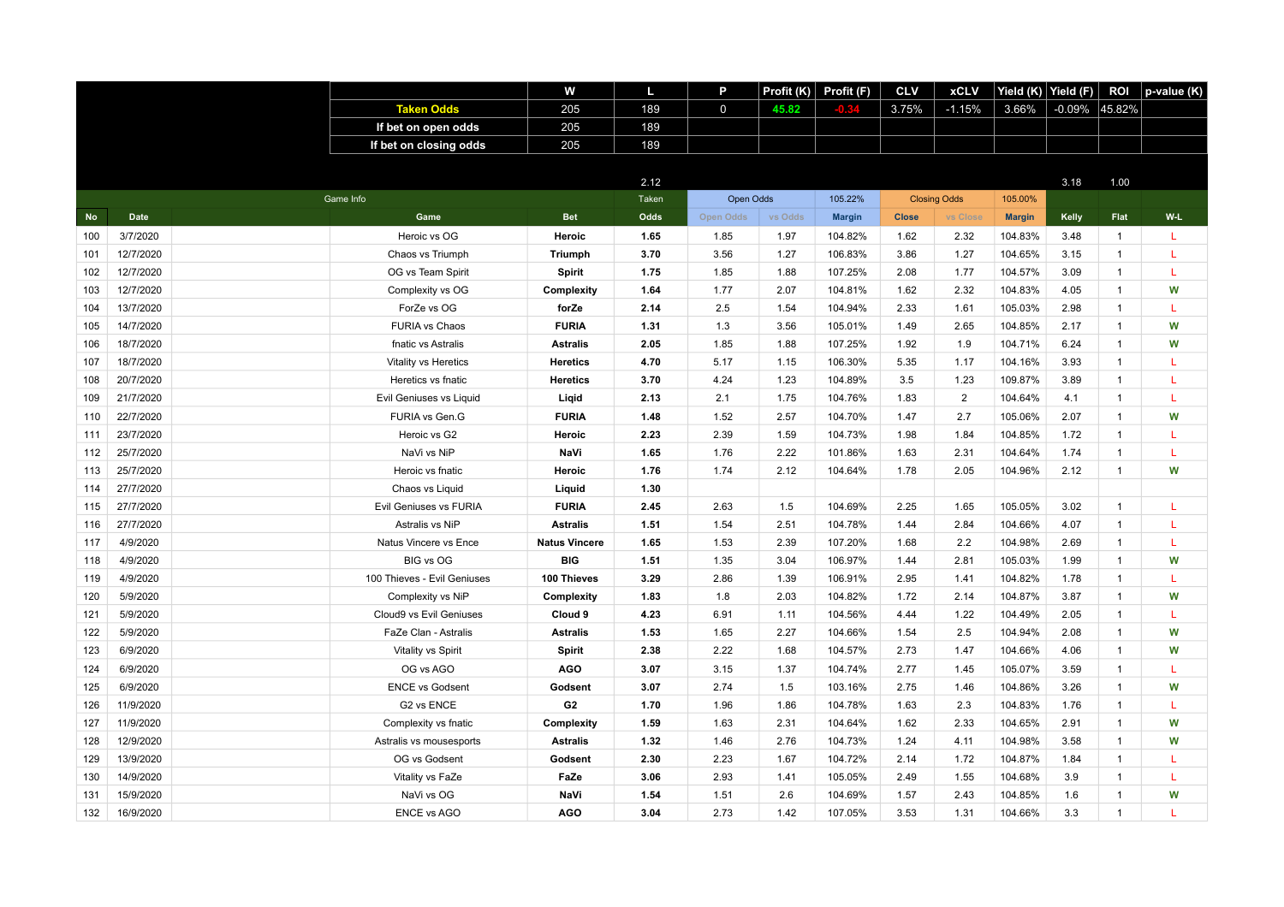|           |             |                             | w                    | L     | P           | Profit $(K)$ | Profit (F)    | <b>CLV</b>   | <b>xCLV</b>         | Yield (K)     | Yield (F) | <b>ROI</b>   | p-value (K) |
|-----------|-------------|-----------------------------|----------------------|-------|-------------|--------------|---------------|--------------|---------------------|---------------|-----------|--------------|-------------|
|           |             | <b>Taken Odds</b>           | 205                  | 189   | $\mathbf 0$ | 45.82        |               | 3.75%        | $-1.15%$            | 3.66%         | $-0.09\%$ | 45.82%       |             |
|           |             | If bet on open odds         | 205                  | 189   |             |              |               |              |                     |               |           |              |             |
|           |             | If bet on closing odds      | 205                  | 189   |             |              |               |              |                     |               |           |              |             |
|           |             |                             |                      |       |             |              |               |              |                     |               |           |              |             |
|           |             |                             |                      | 2.12  |             |              |               |              |                     |               | 3.18      | 1.00         |             |
|           |             | Game Info                   |                      | Taken | Open Odds   |              | 105.22%       |              | <b>Closing Odds</b> | 105.00%       |           |              |             |
| <b>No</b> | <b>Date</b> | Game                        | <b>Bet</b>           | Odds  | Open Odds   | vs Odds      | <b>Margin</b> | <b>Close</b> | vs Close            | <b>Margin</b> | Kelly     | Flat         | $W-L$       |
| 100       | 3/7/2020    | Heroic vs OG                | Heroic               | 1.65  | 1.85        | 1.97         | 104.82%       | 1.62         | 2.32                | 104.83%       | 3.48      | $\mathbf{1}$ | L           |
| 101       | 12/7/2020   | Chaos vs Triumph            | <b>Triumph</b>       | 3.70  | 3.56        | 1.27         | 106.83%       | 3.86         | 1.27                | 104.65%       | 3.15      | $\mathbf{1}$ | L           |
| 102       | 12/7/2020   | OG vs Team Spirit           | Spirit               | 1.75  | 1.85        | 1.88         | 107.25%       | 2.08         | 1.77                | 104.57%       | 3.09      | $\mathbf{1}$ | T.          |
| 103       | 12/7/2020   | Complexity vs OG            | Complexity           | 1.64  | 1.77        | 2.07         | 104.81%       | 1.62         | 2.32                | 104.83%       | 4.05      | $\mathbf{1}$ | W           |
| 104       | 13/7/2020   | ForZe vs OG                 | forZe                | 2.14  | 2.5         | 1.54         | 104.94%       | 2.33         | 1.61                | 105.03%       | 2.98      | $\mathbf{1}$ | L           |
| 105       | 14/7/2020   | <b>FURIA vs Chaos</b>       | <b>FURIA</b>         | 1.31  | 1.3         | 3.56         | 105.01%       | 1.49         | 2.65                | 104.85%       | 2.17      | $\mathbf{1}$ | W           |
| 106       | 18/7/2020   | fnatic vs Astralis          | <b>Astralis</b>      | 2.05  | 1.85        | 1.88         | 107.25%       | 1.92         | 1.9                 | 104.71%       | 6.24      | $\mathbf{1}$ | W           |
| 107       | 18/7/2020   | Vitality vs Heretics        | <b>Heretics</b>      | 4.70  | 5.17        | 1.15         | 106.30%       | 5.35         | 1.17                | 104.16%       | 3.93      | $\mathbf{1}$ | L           |
| 108       | 20/7/2020   | Heretics vs fnatic          | <b>Heretics</b>      | 3.70  | 4.24        | 1.23         | 104.89%       | 3.5          | 1.23                | 109.87%       | 3.89      | $\mathbf{1}$ | L           |
| 109       | 21/7/2020   | Evil Geniuses vs Liquid     | Ligid                | 2.13  | 2.1         | 1.75         | 104.76%       | 1.83         | $\overline{2}$      | 104.64%       | 4.1       | $\mathbf{1}$ | L           |
| 110       | 22/7/2020   | FURIA vs Gen.G              | <b>FURIA</b>         | 1.48  | 1.52        | 2.57         | 104.70%       | 1.47         | 2.7                 | 105.06%       | 2.07      | $\mathbf{1}$ | W           |
| 111       | 23/7/2020   | Heroic vs G2                | Heroic               | 2.23  | 2.39        | 1.59         | 104.73%       | 1.98         | 1.84                | 104.85%       | 1.72      | $\mathbf{1}$ | L           |
| 112       | 25/7/2020   | NaVi vs NiP                 | NaVi                 | 1.65  | 1.76        | 2.22         | 101.86%       | 1.63         | 2.31                | 104.64%       | 1.74      | $\mathbf{1}$ | L           |
| 113       | 25/7/2020   | Heroic vs fnatic            | Heroic               | 1.76  | 1.74        | 2.12         | 104.64%       | 1.78         | 2.05                | 104.96%       | 2.12      | $\mathbf{1}$ | W           |
| 114       | 27/7/2020   | Chaos vs Liquid             | Liquid               | 1.30  |             |              |               |              |                     |               |           |              |             |
| 115       | 27/7/2020   | Evil Geniuses vs FURIA      | <b>FURIA</b>         | 2.45  | 2.63        | 1.5          | 104.69%       | 2.25         | 1.65                | 105.05%       | 3.02      | $\mathbf{1}$ | L           |
| 116       | 27/7/2020   | Astralis vs NiP             | <b>Astralis</b>      | 1.51  | 1.54        | 2.51         | 104.78%       | 1.44         | 2.84                | 104.66%       | 4.07      | $\mathbf{1}$ | L           |
| 117       | 4/9/2020    | Natus Vincere vs Ence       | <b>Natus Vincere</b> | 1.65  | 1.53        | 2.39         | 107.20%       | 1.68         | 2.2                 | 104.98%       | 2.69      | $\mathbf{1}$ | L           |
| 118       | 4/9/2020    | BIG vs OG                   | <b>BIG</b>           | 1.51  | 1.35        | 3.04         | 106.97%       | 1.44         | 2.81                | 105.03%       | 1.99      | $\mathbf{1}$ | W           |
| 119       | 4/9/2020    | 100 Thieves - Evil Geniuses | 100 Thieves          | 3.29  | 2.86        | 1.39         | 106.91%       | 2.95         | 1.41                | 104.82%       | 1.78      | $\mathbf{1}$ | T.          |
| 120       | 5/9/2020    | Complexity vs NiP           | Complexity           | 1.83  | 1.8         | 2.03         | 104.82%       | 1.72         | 2.14                | 104.87%       | 3.87      | $\mathbf{1}$ | W           |
| 121       | 5/9/2020    | Cloud9 vs Evil Geniuses     | Cloud 9              | 4.23  | 6.91        | 1.11         | 104.56%       | 4.44         | 1.22                | 104.49%       | 2.05      | $\mathbf{1}$ | T.          |
| 122       | 5/9/2020    | FaZe Clan - Astralis        | <b>Astralis</b>      | 1.53  | 1.65        | 2.27         | 104.66%       | 1.54         | 2.5                 | 104.94%       | 2.08      | $\mathbf{1}$ | W           |
| 123       | 6/9/2020    | Vitality vs Spirit          | Spirit               | 2.38  | 2.22        | 1.68         | 104.57%       | 2.73         | 1.47                | 104.66%       | 4.06      | $\mathbf{1}$ | W           |
| 124       | 6/9/2020    | OG vs AGO                   | <b>AGO</b>           | 3.07  | 3.15        | 1.37         | 104.74%       | 2.77         | 1.45                | 105.07%       | 3.59      | $\mathbf{1}$ | T.          |
| 125       | 6/9/2020    | <b>ENCE vs Godsent</b>      | Godsent              | 3.07  | 2.74        | 1.5          | 103.16%       | 2.75         | 1.46                | 104.86%       | 3.26      | $\mathbf{1}$ | W           |
| 126       | 11/9/2020   | G2 vs ENCE                  | G <sub>2</sub>       | 1.70  | 1.96        | 1.86         | 104.78%       | 1.63         | 2.3                 | 104.83%       | 1.76      | $\mathbf{1}$ | L           |
| 127       | 11/9/2020   | Complexity vs fnatic        | Complexity           | 1.59  | 1.63        | 2.31         | 104.64%       | 1.62         | 2.33                | 104.65%       | 2.91      | $\mathbf{1}$ | W           |
| 128       | 12/9/2020   | Astralis vs mousesports     | <b>Astralis</b>      | 1.32  | 1.46        | 2.76         | 104.73%       | 1.24         | 4.11                | 104.98%       | 3.58      | $\mathbf{1}$ | W           |
| 129       | 13/9/2020   | OG vs Godsent               | Godsent              | 2.30  | 2.23        | 1.67         | 104.72%       | 2.14         | 1.72                | 104.87%       | 1.84      | $\mathbf{1}$ | L           |
| 130       | 14/9/2020   | Vitality vs FaZe            | FaZe                 | 3.06  | 2.93        | 1.41         | 105.05%       | 2.49         | 1.55                | 104.68%       | 3.9       | $\mathbf{1}$ | L           |
| 131       | 15/9/2020   | NaVi vs OG                  | NaVi                 | 1.54  | 1.51        | 2.6          | 104.69%       | 1.57         | 2.43                | 104.85%       | 1.6       | $\mathbf{1}$ | W           |
| 132       | 16/9/2020   | <b>ENCE vs AGO</b>          | <b>AGO</b>           | 3.04  | 2.73        | 1.42         | 107.05%       | 3.53         | 1.31                | 104.66%       | 3.3       | $\mathbf{1}$ | т           |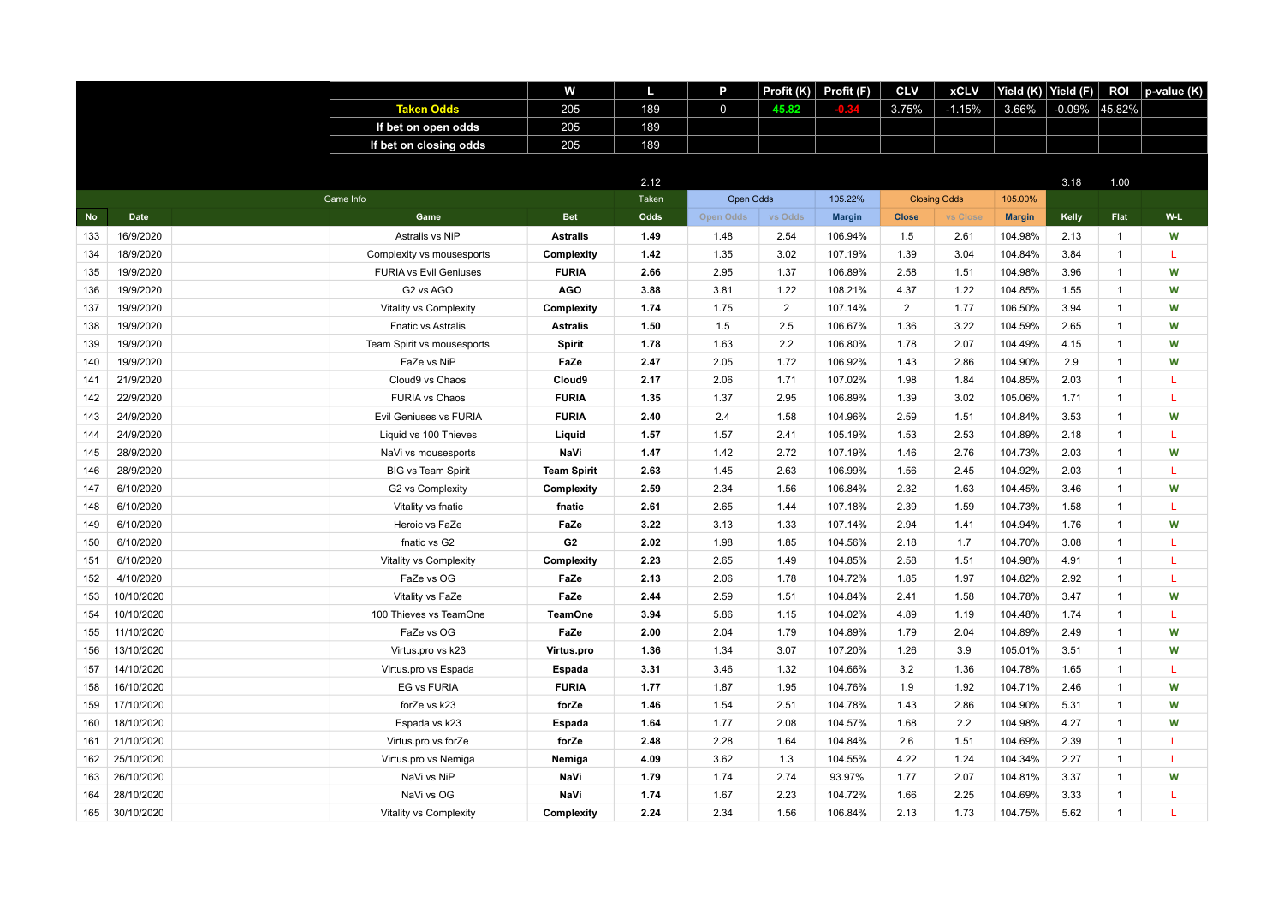|           |             |                               | w                  | L            | P           | Profit (K)     | Profit (F)    | <b>CLV</b>     | <b>xCLV</b>         | Yield (K) Yield (F) |           | <b>ROI</b>     | p-value (K) |
|-----------|-------------|-------------------------------|--------------------|--------------|-------------|----------------|---------------|----------------|---------------------|---------------------|-----------|----------------|-------------|
|           |             | <b>Taken Odds</b>             | 205                | 189          | $\mathbf 0$ | 45.82          |               | 3.75%          | $-1.15%$            | 3.66%               | $-0.09\%$ | 45.82%         |             |
|           |             | If bet on open odds           | 205                | 189          |             |                |               |                |                     |                     |           |                |             |
|           |             | If bet on closing odds        | 205                | 189          |             |                |               |                |                     |                     |           |                |             |
|           |             |                               |                    |              |             |                |               |                |                     |                     |           |                |             |
|           |             |                               |                    | 2.12         |             |                |               |                |                     |                     | 3.18      | 1.00           |             |
|           |             | Game Info                     |                    | <b>Taken</b> | Open Odds   |                | 105.22%       |                | <b>Closing Odds</b> | 105.00%             |           |                |             |
| <b>No</b> | <b>Date</b> | Game                          | <b>Bet</b>         | Odds         | Open Odds   | vs Odds        | <b>Margin</b> | <b>Close</b>   | vs Close            | <b>Margin</b>       | Kelly     | Flat           | $W-L$       |
| 133       | 16/9/2020   | Astralis vs NiP               | <b>Astralis</b>    | 1.49         | 1.48        | 2.54           | 106.94%       | 1.5            | 2.61                | 104.98%             | 2.13      | $\mathbf{1}$   | W           |
| 134       | 18/9/2020   | Complexity vs mousesports     | Complexity         | 1.42         | 1.35        | 3.02           | 107.19%       | 1.39           | 3.04                | 104.84%             | 3.84      | $\mathbf{1}$   | L           |
| 135       | 19/9/2020   | <b>FURIA vs Evil Geniuses</b> | <b>FURIA</b>       | 2.66         | 2.95        | 1.37           | 106.89%       | 2.58           | 1.51                | 104.98%             | 3.96      | $\mathbf{1}$   | W           |
| 136       | 19/9/2020   | G2 vs AGO                     | <b>AGO</b>         | 3.88         | 3.81        | 1.22           | 108.21%       | 4.37           | 1.22                | 104.85%             | 1.55      | $\mathbf{1}$   | W           |
| 137       | 19/9/2020   | Vitality vs Complexity        | Complexity         | 1.74         | 1.75        | $\overline{2}$ | 107.14%       | $\overline{2}$ | 1.77                | 106.50%             | 3.94      | $\mathbf{1}$   | W           |
| 138       | 19/9/2020   | <b>Fnatic vs Astralis</b>     | <b>Astralis</b>    | 1.50         | 1.5         | 2.5            | 106.67%       | 1.36           | 3.22                | 104.59%             | 2.65      | $\mathbf{1}$   | W           |
| 139       | 19/9/2020   | Team Spirit vs mousesports    | Spirit             | 1.78         | 1.63        | 2.2            | 106.80%       | 1.78           | 2.07                | 104.49%             | 4.15      | $\mathbf{1}$   | W           |
| 140       | 19/9/2020   | FaZe vs NiP                   | FaZe               | 2.47         | 2.05        | 1.72           | 106.92%       | 1.43           | 2.86                | 104.90%             | 2.9       | $\mathbf{1}$   | W           |
| 141       | 21/9/2020   | Cloud9 vs Chaos               | Cloud9             | 2.17         | 2.06        | 1.71           | 107.02%       | 1.98           | 1.84                | 104.85%             | 2.03      | $\mathbf{1}$   | L           |
| 142       | 22/9/2020   | <b>FURIA vs Chaos</b>         | <b>FURIA</b>       | 1.35         | 1.37        | 2.95           | 106.89%       | 1.39           | 3.02                | 105.06%             | 1.71      | $\mathbf{1}$   | L           |
| 143       | 24/9/2020   | Evil Geniuses vs FURIA        | <b>FURIA</b>       | 2.40         | 2.4         | 1.58           | 104.96%       | 2.59           | 1.51                | 104.84%             | 3.53      | $\mathbf{1}$   | W           |
| 144       | 24/9/2020   | Liquid vs 100 Thieves         | Liquid             | 1.57         | 1.57        | 2.41           | 105.19%       | 1.53           | 2.53                | 104.89%             | 2.18      | $\mathbf{1}$   | L           |
| 145       | 28/9/2020   | NaVi vs mousesports           | NaVi               | 1.47         | 1.42        | 2.72           | 107.19%       | 1.46           | 2.76                | 104.73%             | 2.03      | $\mathbf{1}$   | W           |
| 146       | 28/9/2020   | <b>BIG vs Team Spirit</b>     | <b>Team Spirit</b> | 2.63         | 1.45        | 2.63           | 106.99%       | 1.56           | 2.45                | 104.92%             | 2.03      | $\mathbf{1}$   | T.          |
| 147       | 6/10/2020   | G2 vs Complexity              | Complexity         | 2.59         | 2.34        | 1.56           | 106.84%       | 2.32           | 1.63                | 104.45%             | 3.46      | $\mathbf{1}$   | W           |
| 148       | 6/10/2020   | Vitality vs fnatic            | fnatic             | 2.61         | 2.65        | 1.44           | 107.18%       | 2.39           | 1.59                | 104.73%             | 1.58      | $\mathbf{1}$   | L           |
| 149       | 6/10/2020   | Heroic vs FaZe                | FaZe               | 3.22         | 3.13        | 1.33           | 107.14%       | 2.94           | 1.41                | 104.94%             | 1.76      | $\mathbf{1}$   | W           |
| 150       | 6/10/2020   | fnatic vs G2                  | G <sub>2</sub>     | 2.02         | 1.98        | 1.85           | 104.56%       | 2.18           | 1.7                 | 104.70%             | 3.08      | $\mathbf{1}$   | L           |
| 151       | 6/10/2020   | Vitality vs Complexity        | Complexity         | 2.23         | 2.65        | 1.49           | 104.85%       | 2.58           | 1.51                | 104.98%             | 4.91      | $\mathbf{1}$   | L           |
| 152       | 4/10/2020   | FaZe vs OG                    | FaZe               | 2.13         | 2.06        | 1.78           | 104.72%       | 1.85           | 1.97                | 104.82%             | 2.92      | $\mathbf{1}$   | L           |
| 153       | 10/10/2020  | Vitality vs FaZe              | FaZe               | 2.44         | 2.59        | 1.51           | 104.84%       | 2.41           | 1.58                | 104.78%             | 3.47      | $\mathbf{1}$   | W           |
| 154       | 10/10/2020  | 100 Thieves vs TeamOne        | <b>TeamOne</b>     | 3.94         | 5.86        | 1.15           | 104.02%       | 4.89           | 1.19                | 104.48%             | 1.74      | $\mathbf{1}$   | L           |
| 155       | 11/10/2020  | FaZe vs OG                    | FaZe               | 2.00         | 2.04        | 1.79           | 104.89%       | 1.79           | 2.04                | 104.89%             | 2.49      | $\mathbf{1}$   | W           |
| 156       | 13/10/2020  | Virtus.pro vs k23             | Virtus.pro         | 1.36         | 1.34        | 3.07           | 107.20%       | 1.26           | 3.9                 | 105.01%             | 3.51      | $\mathbf{1}$   | W           |
| 157       | 14/10/2020  | Virtus.pro vs Espada          | Espada             | 3.31         | 3.46        | 1.32           | 104.66%       | 3.2            | 1.36                | 104.78%             | 1.65      | $\mathbf{1}$   | T.          |
| 158       | 16/10/2020  | <b>EG vs FURIA</b>            | <b>FURIA</b>       | 1.77         | 1.87        | 1.95           | 104.76%       | 1.9            | 1.92                | 104.71%             | 2.46      | $\mathbf{1}$   | W           |
| 159       | 17/10/2020  | forZe vs k23                  | forZe              | 1.46         | 1.54        | 2.51           | 104.78%       | 1.43           | 2.86                | 104.90%             | 5.31      | $\mathbf{1}$   | W           |
| 160       | 18/10/2020  | Espada vs k23                 | Espada             | 1.64         | 1.77        | 2.08           | 104.57%       | 1.68           | 2.2                 | 104.98%             | 4.27      | $\mathbf{1}$   | W           |
| 161       | 21/10/2020  | Virtus.pro vs forZe           | forZe              | 2.48         | 2.28        | 1.64           | 104.84%       | 2.6            | 1.51                | 104.69%             | 2.39      | $\mathbf{1}$   | L           |
| 162       | 25/10/2020  | Virtus.pro vs Nemiga          | Nemiga             | 4.09         | 3.62        | 1.3            | 104.55%       | 4.22           | 1.24                | 104.34%             | 2.27      | $\mathbf{1}$   | L           |
| 163       | 26/10/2020  | NaVi vs NiP                   | NaVi               | 1.79         | 1.74        | 2.74           | 93.97%        | 1.77           | 2.07                | 104.81%             | 3.37      | $\mathbf{1}$   | W           |
| 164       | 28/10/2020  | NaVi vs OG                    | NaVi               | 1.74         | 1.67        | 2.23           | 104.72%       | 1.66           | 2.25                | 104.69%             | 3.33      | $\mathbf{1}$   | L           |
| 165       | 30/10/2020  | Vitality vs Complexity        | <b>Complexity</b>  | 2.24         | 2.34        | 1.56           | 106.84%       | 2.13           | 1.73                | 104.75%             | 5.62      | $\overline{1}$ | т           |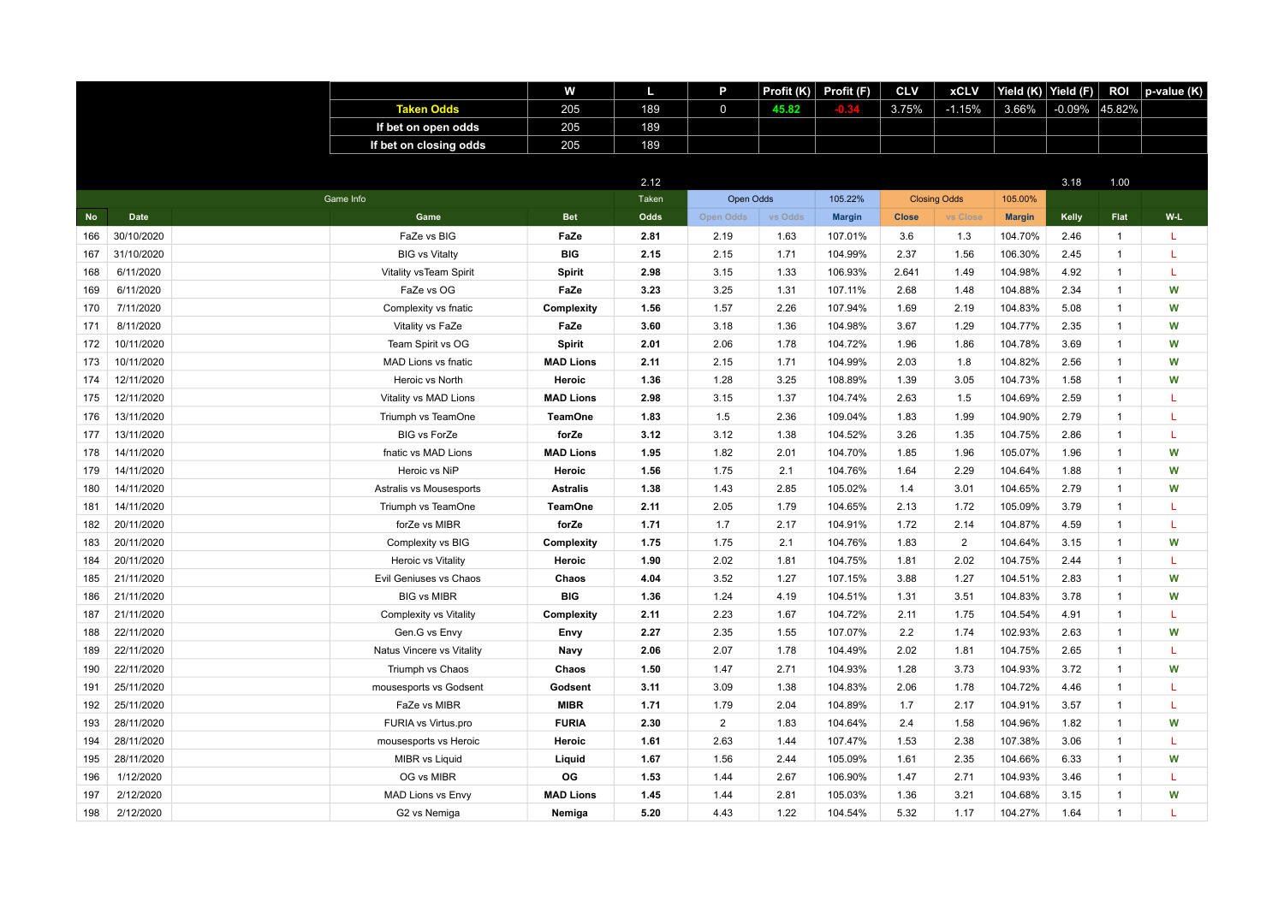|           |             |                           | w                | L     | P              | Profit $(K)$ | Profit (F)    | <b>CLV</b>   | <b>xCLV</b>         | Yield (K)     | Yield (F) | <b>ROI</b>   | p-value (K) |
|-----------|-------------|---------------------------|------------------|-------|----------------|--------------|---------------|--------------|---------------------|---------------|-----------|--------------|-------------|
|           |             | <b>Taken Odds</b>         | 205              | 189   | $\mathbf 0$    | 45.82        |               | 3.75%        | $-1.15%$            | 3.66%         | $-0.09\%$ | 45.82%       |             |
|           |             | If bet on open odds       | 205              | 189   |                |              |               |              |                     |               |           |              |             |
|           |             | If bet on closing odds    | 205              | 189   |                |              |               |              |                     |               |           |              |             |
|           |             |                           |                  |       |                |              |               |              |                     |               |           |              |             |
|           |             |                           |                  | 2.12  |                |              |               |              |                     |               | 3.18      | 1.00         |             |
|           |             | Game Info                 |                  | Taken | Open Odds      |              | 105.22%       |              | <b>Closing Odds</b> | 105.00%       |           |              |             |
| <b>No</b> | <b>Date</b> | Game                      | <b>Bet</b>       | Odds  | Open Odds      | vs Odds      | <b>Margin</b> | <b>Close</b> | vs Close            | <b>Margin</b> | Kelly     | Flat         | $W-L$       |
| 166       | 30/10/2020  | FaZe vs BIG               | FaZe             | 2.81  | 2.19           | 1.63         | 107.01%       | 3.6          | 1.3                 | 104.70%       | 2.46      | $\mathbf{1}$ | L           |
| 167       | 31/10/2020  | <b>BIG vs Vitalty</b>     | <b>BIG</b>       | 2.15  | 2.15           | 1.71         | 104.99%       | 2.37         | 1.56                | 106.30%       | 2.45      | $\mathbf{1}$ | L           |
| 168       | 6/11/2020   | Vitality vsTeam Spirit    | Spirit           | 2.98  | 3.15           | 1.33         | 106.93%       | 2.641        | 1.49                | 104.98%       | 4.92      | $\mathbf{1}$ | T           |
| 169       | 6/11/2020   | FaZe vs OG                | FaZe             | 3.23  | 3.25           | 1.31         | 107.11%       | 2.68         | 1.48                | 104.88%       | 2.34      | 1            | W           |
| 170       | 7/11/2020   | Complexity vs fnatic      | Complexity       | 1.56  | 1.57           | 2.26         | 107.94%       | 1.69         | 2.19                | 104.83%       | 5.08      | $\mathbf{1}$ | W           |
| 171       | 8/11/2020   | Vitality vs FaZe          | FaZe             | 3.60  | 3.18           | 1.36         | 104.98%       | 3.67         | 1.29                | 104.77%       | 2.35      | $\mathbf{1}$ | W           |
| 172       | 10/11/2020  | Team Spirit vs OG         | Spirit           | 2.01  | 2.06           | 1.78         | 104.72%       | 1.96         | 1.86                | 104.78%       | 3.69      | $\mathbf{1}$ | W           |
| 173       | 10/11/2020  | MAD Lions vs fnatic       | <b>MAD Lions</b> | 2.11  | 2.15           | 1.71         | 104.99%       | 2.03         | 1.8                 | 104.82%       | 2.56      | $\mathbf{1}$ | W           |
| 174       | 12/11/2020  | Heroic vs North           | Heroic           | 1.36  | 1.28           | 3.25         | 108.89%       | 1.39         | 3.05                | 104.73%       | 1.58      | $\mathbf{1}$ | W           |
| 175       | 12/11/2020  | Vitality vs MAD Lions     | <b>MAD Lions</b> | 2.98  | 3.15           | 1.37         | 104.74%       | 2.63         | 1.5                 | 104.69%       | 2.59      | $\mathbf{1}$ | L           |
| 176       | 13/11/2020  | Triumph vs TeamOne        | <b>TeamOne</b>   | 1.83  | 1.5            | 2.36         | 109.04%       | 1.83         | 1.99                | 104.90%       | 2.79      | $\mathbf{1}$ | L           |
| 177       | 13/11/2020  | <b>BIG vs ForZe</b>       | forZe            | 3.12  | 3.12           | 1.38         | 104.52%       | 3.26         | 1.35                | 104.75%       | 2.86      | $\mathbf{1}$ | L           |
| 178       | 14/11/2020  | fnatic vs MAD Lions       | <b>MAD Lions</b> | 1.95  | 1.82           | 2.01         | 104.70%       | 1.85         | 1.96                | 105.07%       | 1.96      | $\mathbf{1}$ | W           |
| 179       | 14/11/2020  | Heroic vs NiP             | Heroic           | 1.56  | 1.75           | 2.1          | 104.76%       | 1.64         | 2.29                | 104.64%       | 1.88      | $\mathbf{1}$ | W           |
| 180       | 14/11/2020  | Astralis vs Mousesports   | <b>Astralis</b>  | 1.38  | 1.43           | 2.85         | 105.02%       | 1.4          | 3.01                | 104.65%       | 2.79      | $\mathbf{1}$ | W           |
| 181       | 14/11/2020  | Triumph vs TeamOne        | <b>TeamOne</b>   | 2.11  | 2.05           | 1.79         | 104.65%       | 2.13         | 1.72                | 105.09%       | 3.79      | $\mathbf{1}$ | L           |
| 182       | 20/11/2020  | forZe vs MIBR             | forZe            | 1.71  | 1.7            | 2.17         | 104.91%       | 1.72         | 2.14                | 104.87%       | 4.59      | $\mathbf{1}$ | L           |
| 183       | 20/11/2020  | Complexity vs BIG         | Complexity       | 1.75  | 1.75           | 2.1          | 104.76%       | 1.83         | $\overline{2}$      | 104.64%       | 3.15      | $\mathbf{1}$ | W           |
| 184       | 20/11/2020  | Heroic vs Vitality        | Heroic           | 1.90  | 2.02           | 1.81         | 104.75%       | 1.81         | 2.02                | 104.75%       | 2.44      | $\mathbf{1}$ | L           |
| 185       | 21/11/2020  | Evil Geniuses vs Chaos    | Chaos            | 4.04  | 3.52           | 1.27         | 107.15%       | 3.88         | 1.27                | 104.51%       | 2.83      | $\mathbf{1}$ | W           |
| 186       | 21/11/2020  | <b>BIG vs MIBR</b>        | <b>BIG</b>       | 1.36  | 1.24           | 4.19         | 104.51%       | 1.31         | 3.51                | 104.83%       | 3.78      | $\mathbf{1}$ | W           |
| 187       | 21/11/2020  | Complexity vs Vitality    | Complexity       | 2.11  | 2.23           | 1.67         | 104.72%       | 2.11         | 1.75                | 104.54%       | 4.91      | $\mathbf{1}$ | T           |
| 188       | 22/11/2020  | Gen.G vs Envy             | Envy             | 2.27  | 2.35           | 1.55         | 107.07%       | 2.2          | 1.74                | 102.93%       | 2.63      | $\mathbf{1}$ | W           |
| 189       | 22/11/2020  | Natus Vincere vs Vitality | Navy             | 2.06  | 2.07           | 1.78         | 104.49%       | 2.02         | 1.81                | 104.75%       | 2.65      | $\mathbf{1}$ | L           |
| 190       | 22/11/2020  | Triumph vs Chaos          | Chaos            | 1.50  | 1.47           | 2.71         | 104.93%       | 1.28         | 3.73                | 104.93%       | 3.72      | $\mathbf{1}$ | W           |
| 191       | 25/11/2020  | mousesports vs Godsent    | Godsent          | 3.11  | 3.09           | 1.38         | 104.83%       | 2.06         | 1.78                | 104.72%       | 4.46      | $\mathbf{1}$ | L           |
| 192       | 25/11/2020  | FaZe vs MIBR              | <b>MIBR</b>      | 1.71  | 1.79           | 2.04         | 104.89%       | 1.7          | 2.17                | 104.91%       | 3.57      | $\mathbf{1}$ | L           |
| 193       | 28/11/2020  | FURIA vs Virtus.pro       | <b>FURIA</b>     | 2.30  | $\overline{2}$ | 1.83         | 104.64%       | 2.4          | 1.58                | 104.96%       | 1.82      | $\mathbf{1}$ | W           |
| 194       | 28/11/2020  | mousesports vs Heroic     | Heroic           | 1.61  | 2.63           | 1.44         | 107.47%       | 1.53         | 2.38                | 107.38%       | 3.06      | $\mathbf{1}$ | L           |
| 195       | 28/11/2020  | <b>MIBR vs Liquid</b>     | Liquid           | 1.67  | 1.56           | 2.44         | 105.09%       | 1.61         | 2.35                | 104.66%       | 6.33      | $\mathbf{1}$ | W           |
| 196       | 1/12/2020   | OG vs MIBR                | OG               | 1.53  | 1.44           | 2.67         | 106.90%       | 1.47         | 2.71                | 104.93%       | 3.46      | $\mathbf{1}$ | L           |
| 197       | 2/12/2020   | <b>MAD Lions vs Envy</b>  | <b>MAD Lions</b> | 1.45  | 1.44           | 2.81         | 105.03%       | 1.36         | 3.21                | 104.68%       | 3.15      | $\mathbf{1}$ | W           |
| 198       | 2/12/2020   | G2 vs Nemiga              | Nemiga           | 5.20  | 4.43           | 1.22         | 104.54%       | 5.32         | 1.17                | 104.27%       | 1.64      | $\mathbf{1}$ | т           |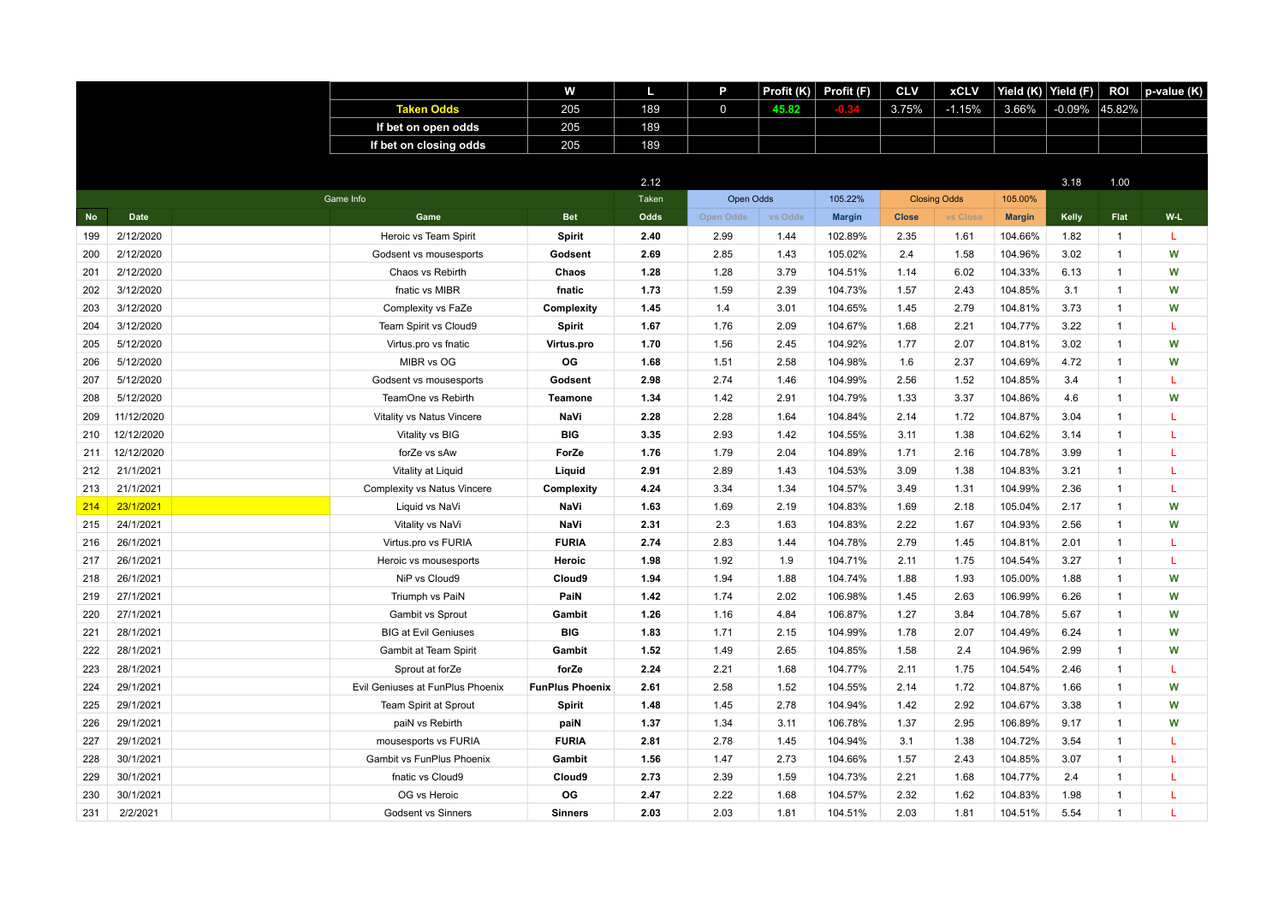|           |             |                                  | w                      | L     | P           | Profit (K) | Profit (F)    | <b>CLV</b>   | <b>xCLV</b>         | Yield (K)     | Yield (F) | <b>ROI</b>   | p-value (K) |
|-----------|-------------|----------------------------------|------------------------|-------|-------------|------------|---------------|--------------|---------------------|---------------|-----------|--------------|-------------|
|           |             | <b>Taken Odds</b>                | 205                    | 189   | $\mathbf 0$ | 45.82      |               | 3.75%        | $-1.15%$            | 3.66%         | $-0.09\%$ | 45.82%       |             |
|           |             | If bet on open odds              | 205                    | 189   |             |            |               |              |                     |               |           |              |             |
|           |             | If bet on closing odds           | 205                    | 189   |             |            |               |              |                     |               |           |              |             |
|           |             |                                  |                        |       |             |            |               |              |                     |               |           |              |             |
|           |             |                                  |                        | 2.12  |             |            |               |              |                     |               | 3.18      | 1.00         |             |
|           |             | Game Info                        |                        | Taken | Open Odds   |            | 105.22%       |              | <b>Closing Odds</b> | 105.00%       |           |              |             |
| <b>No</b> | <b>Date</b> | Game                             | <b>Bet</b>             | Odds  | Open Odds   | vs Odds    | <b>Margin</b> | <b>Close</b> | vs Close            | <b>Margin</b> | Kelly     | Flat         | W-L         |
| 199       | 2/12/2020   | Heroic vs Team Spirit            | Spirit                 | 2.40  | 2.99        | 1.44       | 102.89%       | 2.35         | 1.61                | 104.66%       | 1.82      | $\mathbf{1}$ | L           |
| 200       | 2/12/2020   | Godsent vs mousesports           | Godsent                | 2.69  | 2.85        | 1.43       | 105.02%       | 2.4          | 1.58                | 104.96%       | 3.02      | $\mathbf{1}$ | W           |
| 201       | 2/12/2020   | Chaos vs Rebirth                 | Chaos                  | 1.28  | 1.28        | 3.79       | 104.51%       | 1.14         | 6.02                | 104.33%       | 6.13      | $\mathbf{1}$ | W           |
| 202       | 3/12/2020   | fnatic vs MIBR                   | fnatic                 | 1.73  | 1.59        | 2.39       | 104.73%       | 1.57         | 2.43                | 104.85%       | 3.1       | $\mathbf{1}$ | W           |
| 203       | 3/12/2020   | Complexity vs FaZe               | Complexity             | 1.45  | 1.4         | 3.01       | 104.65%       | 1.45         | 2.79                | 104.81%       | 3.73      | $\mathbf{1}$ | W           |
| 204       | 3/12/2020   | Team Spirit vs Cloud9            | Spirit                 | 1.67  | 1.76        | 2.09       | 104.67%       | 1.68         | 2.21                | 104.77%       | 3.22      | $\mathbf{1}$ | L           |
| 205       | 5/12/2020   | Virtus.pro vs fnatic             | Virtus.pro             | 1.70  | 1.56        | 2.45       | 104.92%       | 1.77         | 2.07                | 104.81%       | 3.02      | $\mathbf{1}$ | W           |
| 206       | 5/12/2020   | MIBR vs OG                       | OG                     | 1.68  | 1.51        | 2.58       | 104.98%       | 1.6          | 2.37                | 104.69%       | 4.72      | $\mathbf{1}$ | W           |
| 207       | 5/12/2020   | Godsent vs mousesports           | Godsent                | 2.98  | 2.74        | 1.46       | 104.99%       | 2.56         | 1.52                | 104.85%       | 3.4       | $\mathbf{1}$ | L           |
| 208       | 5/12/2020   | TeamOne vs Rebirth               | <b>Teamone</b>         | 1.34  | 1.42        | 2.91       | 104.79%       | 1.33         | 3.37                | 104.86%       | 4.6       | $\mathbf{1}$ | W           |
| 209       | 11/12/2020  | Vitality vs Natus Vincere        | NaVi                   | 2.28  | 2.28        | 1.64       | 104.84%       | 2.14         | 1.72                | 104.87%       | 3.04      | $\mathbf{1}$ | L           |
| 210       | 12/12/2020  | Vitality vs BIG                  | <b>BIG</b>             | 3.35  | 2.93        | 1.42       | 104.55%       | 3.11         | 1.38                | 104.62%       | 3.14      | $\mathbf{1}$ | L           |
| 211       | 12/12/2020  | forZe vs sAw                     | ForZe                  | 1.76  | 1.79        | 2.04       | 104.89%       | 1.71         | 2.16                | 104.78%       | 3.99      | $\mathbf{1}$ | L           |
| 212       | 21/1/2021   | Vitality at Liquid               | Liquid                 | 2.91  | 2.89        | 1.43       | 104.53%       | 3.09         | 1.38                | 104.83%       | 3.21      | $\mathbf{1}$ | T           |
| 213       | 21/1/2021   | Complexity vs Natus Vincere      | Complexity             | 4.24  | 3.34        | 1.34       | 104.57%       | 3.49         | 1.31                | 104.99%       | 2.36      | 1            | L           |
| 214       | 23/1/2021   | Liquid vs NaVi                   | NaVi                   | 1.63  | 1.69        | 2.19       | 104.83%       | 1.69         | 2.18                | 105.04%       | 2.17      | $\mathbf{1}$ | W           |
| 215       | 24/1/2021   | Vitality vs NaVi                 | NaVi                   | 2.31  | 2.3         | 1.63       | 104.83%       | 2.22         | 1.67                | 104.93%       | 2.56      | $\mathbf{1}$ | W           |
| 216       | 26/1/2021   | Virtus.pro vs FURIA              | <b>FURIA</b>           | 2.74  | 2.83        | 1.44       | 104.78%       | 2.79         | 1.45                | 104.81%       | 2.01      | $\mathbf{1}$ | L           |
| 217       | 26/1/2021   | Heroic vs mousesports            | Heroic                 | 1.98  | 1.92        | 1.9        | 104.71%       | 2.11         | 1.75                | 104.54%       | 3.27      | $\mathbf{1}$ | L           |
| 218       | 26/1/2021   | NiP vs Cloud9                    | Cloud9                 | 1.94  | 1.94        | 1.88       | 104.74%       | 1.88         | 1.93                | 105.00%       | 1.88      | $\mathbf{1}$ | W           |
| 219       | 27/1/2021   | Triumph vs PaiN                  | PaiN                   | 1.42  | 1.74        | 2.02       | 106.98%       | 1.45         | 2.63                | 106.99%       | 6.26      | $\mathbf{1}$ | W           |
| 220       | 27/1/2021   | Gambit vs Sprout                 | Gambit                 | 1.26  | 1.16        | 4.84       | 106.87%       | 1.27         | 3.84                | 104.78%       | 5.67      | $\mathbf{1}$ | W           |
| 221       | 28/1/2021   | <b>BIG at Evil Geniuses</b>      | <b>BIG</b>             | 1.83  | 1.71        | 2.15       | 104.99%       | 1.78         | 2.07                | 104.49%       | 6.24      | $\mathbf{1}$ | W           |
| 222       | 28/1/2021   | Gambit at Team Spirit            | Gambit                 | 1.52  | 1.49        | 2.65       | 104.85%       | 1.58         | 2.4                 | 104.96%       | 2.99      | $\mathbf{1}$ | W           |
| 223       | 28/1/2021   | Sprout at forZe                  | forZe                  | 2.24  | 2.21        | 1.68       | 104.77%       | 2.11         | 1.75                | 104.54%       | 2.46      | $\mathbf{1}$ | T           |
| 224       | 29/1/2021   | Evil Geniuses at FunPlus Phoenix | <b>FunPlus Phoenix</b> | 2.61  | 2.58        | 1.52       | 104.55%       | 2.14         | 1.72                | 104.87%       | 1.66      | $\mathbf{1}$ | W           |
| 225       | 29/1/2021   | Team Spirit at Sprout            | Spirit                 | 1.48  | 1.45        | 2.78       | 104.94%       | 1.42         | 2.92                | 104.67%       | 3.38      | $\mathbf{1}$ | W           |
| 226       | 29/1/2021   | paiN vs Rebirth                  | paiN                   | 1.37  | 1.34        | 3.11       | 106.78%       | 1.37         | 2.95                | 106.89%       | 9.17      | $\mathbf{1}$ | W           |
| 227       | 29/1/2021   | mousesports vs FURIA             | <b>FURIA</b>           | 2.81  | 2.78        | 1.45       | 104.94%       | 3.1          | 1.38                | 104.72%       | 3.54      | $\mathbf{1}$ | L           |
| 228       | 30/1/2021   | Gambit vs FunPlus Phoenix        | Gambit                 | 1.56  | 1.47        | 2.73       | 104.66%       | 1.57         | 2.43                | 104.85%       | 3.07      | $\mathbf{1}$ | L           |
| 229       | 30/1/2021   | fnatic vs Cloud9                 | Cloud9                 | 2.73  | 2.39        | 1.59       | 104.73%       | 2.21         | 1.68                | 104.77%       | 2.4       | $\mathbf{1}$ | L           |
| 230       | 30/1/2021   | OG vs Heroic                     | OG                     | 2.47  | 2.22        | 1.68       | 104.57%       | 2.32         | 1.62                | 104.83%       | 1.98      | 1            | L           |
| 231       | 2/2/2021    | Godsent vs Sinners               | <b>Sinners</b>         | 2.03  | 2.03        | 1.81       | 104.51%       | 2.03         | 1.81                | 104.51%       | 5.54      | $\mathbf{1}$ | т           |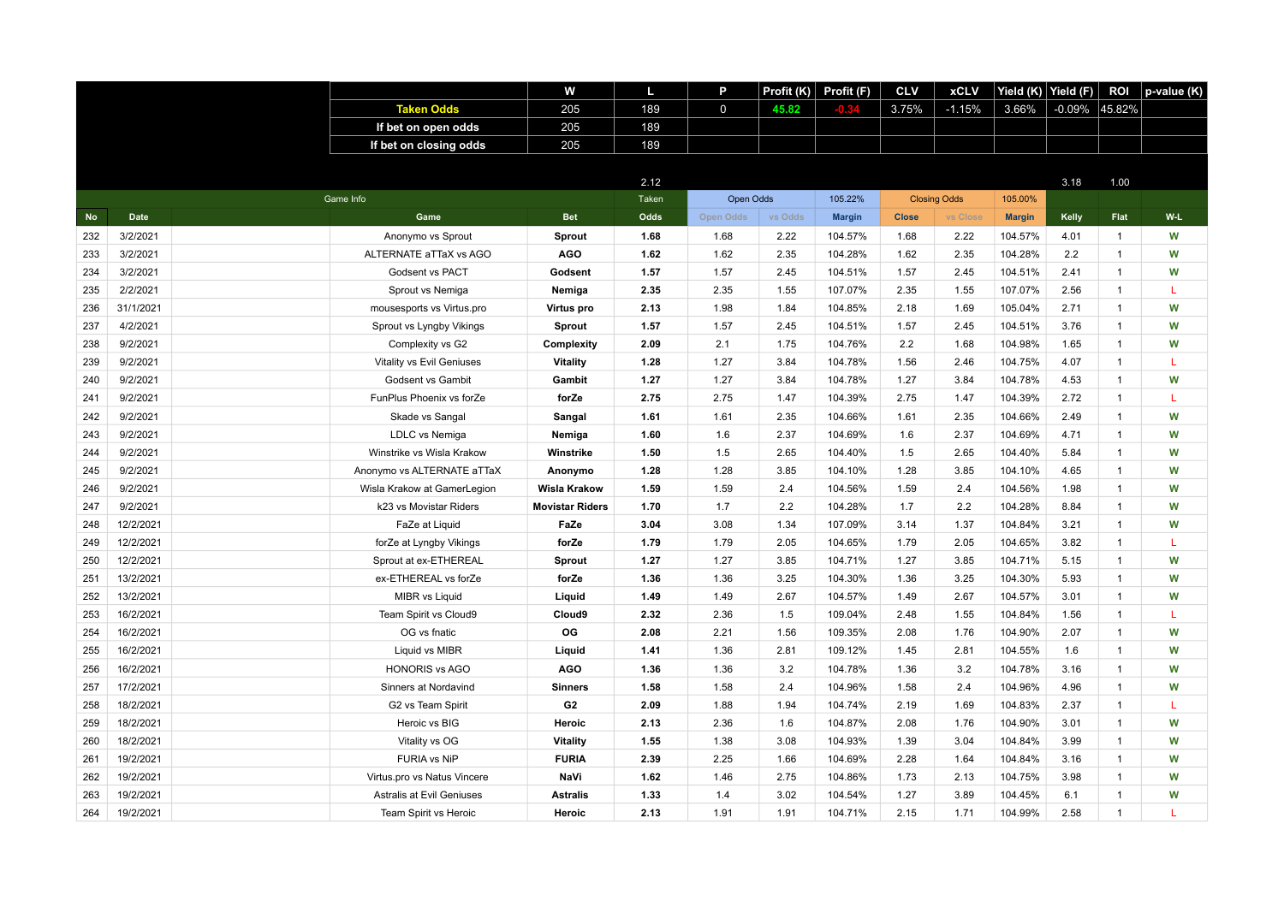|           |             |                             | w                      | L     | P            | Profit $(K)$ | Profit (F)    | <b>CLV</b>   | <b>xCLV</b>         | Yield (K)     | Yield (F) | <b>ROI</b>   | p-value (K) |
|-----------|-------------|-----------------------------|------------------------|-------|--------------|--------------|---------------|--------------|---------------------|---------------|-----------|--------------|-------------|
|           |             | <b>Taken Odds</b>           | 205                    | 189   | $\mathsf{O}$ | 45.82        |               | 3.75%        | $-1.15%$            | 3.66%         | $-0.09\%$ | 45.82%       |             |
|           |             | If bet on open odds         | 205                    | 189   |              |              |               |              |                     |               |           |              |             |
|           |             | If bet on closing odds      | 205                    | 189   |              |              |               |              |                     |               |           |              |             |
|           |             |                             |                        |       |              |              |               |              |                     |               |           |              |             |
|           |             |                             |                        | 2.12  |              |              |               |              |                     |               | 3.18      | 1.00         |             |
|           |             | Game Info                   |                        | Taken | Open Odds    |              | 105.22%       |              | <b>Closing Odds</b> | 105.00%       |           |              |             |
| <b>No</b> | <b>Date</b> | Game                        | <b>Bet</b>             | Odds  | Open Odds    | vs Odds      | <b>Margin</b> | <b>Close</b> | vs Close            | <b>Margin</b> | Kelly     | Flat         | W-L         |
| 232       | 3/2/2021    | Anonymo vs Sprout           | Sprout                 | 1.68  | 1.68         | 2.22         | 104.57%       | 1.68         | 2.22                | 104.57%       | 4.01      | $\mathbf{1}$ | W           |
| 233       | 3/2/2021    | ALTERNATE aTTaX vs AGO      | <b>AGO</b>             | 1.62  | 1.62         | 2.35         | 104.28%       | 1.62         | 2.35                | 104.28%       | 2.2       | $\mathbf{1}$ | W           |
| 234       | 3/2/2021    | Godsent vs PACT             | Godsent                | 1.57  | 1.57         | 2.45         | 104.51%       | 1.57         | 2.45                | 104.51%       | 2.41      | $\mathbf{1}$ | W           |
| 235       | 2/2/2021    | Sprout vs Nemiga            | Nemiga                 | 2.35  | 2.35         | 1.55         | 107.07%       | 2.35         | 1.55                | 107.07%       | 2.56      | $\mathbf{1}$ | L           |
| 236       | 31/1/2021   | mousesports vs Virtus.pro   | Virtus pro             | 2.13  | 1.98         | 1.84         | 104.85%       | 2.18         | 1.69                | 105.04%       | 2.71      | $\mathbf{1}$ | W           |
| 237       | 4/2/2021    | Sprout vs Lyngby Vikings    | Sprout                 | 1.57  | 1.57         | 2.45         | 104.51%       | 1.57         | 2.45                | 104.51%       | 3.76      | $\mathbf{1}$ | W           |
| 238       | 9/2/2021    | Complexity vs G2            | Complexity             | 2.09  | 2.1          | 1.75         | 104.76%       | 2.2          | 1.68                | 104.98%       | 1.65      | $\mathbf{1}$ | W           |
| 239       | 9/2/2021    | Vitality vs Evil Geniuses   | Vitality               | 1.28  | 1.27         | 3.84         | 104.78%       | 1.56         | 2.46                | 104.75%       | 4.07      | $\mathbf{1}$ | L           |
| 240       | 9/2/2021    | Godsent vs Gambit           | Gambit                 | 1.27  | 1.27         | 3.84         | 104.78%       | 1.27         | 3.84                | 104.78%       | 4.53      | $\mathbf{1}$ | W           |
| 241       | 9/2/2021    | FunPlus Phoenix vs forZe    | forZe                  | 2.75  | 2.75         | 1.47         | 104.39%       | 2.75         | 1.47                | 104.39%       | 2.72      | $\mathbf{1}$ | L           |
| 242       | 9/2/2021    | Skade vs Sangal             | Sangal                 | 1.61  | 1.61         | 2.35         | 104.66%       | 1.61         | 2.35                | 104.66%       | 2.49      | $\mathbf{1}$ | W           |
| 243       | 9/2/2021    | LDLC vs Nemiga              | Nemiga                 | 1.60  | 1.6          | 2.37         | 104.69%       | 1.6          | 2.37                | 104.69%       | 4.71      | $\mathbf{1}$ | W           |
| 244       | 9/2/2021    | Winstrike vs Wisla Krakow   | Winstrike              | 1.50  | 1.5          | 2.65         | 104.40%       | 1.5          | 2.65                | 104.40%       | 5.84      | $\mathbf{1}$ | W           |
| 245       | 9/2/2021    | Anonymo vs ALTERNATE aTTaX  | Anonymo                | 1.28  | 1.28         | 3.85         | 104.10%       | 1.28         | 3.85                | 104.10%       | 4.65      | $\mathbf{1}$ | W           |
| 246       | 9/2/2021    | Wisla Krakow at GamerLegion | <b>Wisla Krakow</b>    | 1.59  | 1.59         | 2.4          | 104.56%       | 1.59         | 2.4                 | 104.56%       | 1.98      | 1            | W           |
| 247       | 9/2/2021    | k23 vs Movistar Riders      | <b>Movistar Riders</b> | 1.70  | 1.7          | 2.2          | 104.28%       | 1.7          | 2.2                 | 104.28%       | 8.84      | $\mathbf{1}$ | W           |
| 248       | 12/2/2021   | FaZe at Liquid              | FaZe                   | 3.04  | 3.08         | 1.34         | 107.09%       | 3.14         | 1.37                | 104.84%       | 3.21      | $\mathbf{1}$ | W           |
| 249       | 12/2/2021   | forZe at Lyngby Vikings     | forZe                  | 1.79  | 1.79         | 2.05         | 104.65%       | 1.79         | 2.05                | 104.65%       | 3.82      | $\mathbf{1}$ | L           |
| 250       | 12/2/2021   | Sprout at ex-ETHEREAL       | Sprout                 | 1.27  | 1.27         | 3.85         | 104.71%       | 1.27         | 3.85                | 104.71%       | 5.15      | $\mathbf{1}$ | W           |
| 251       | 13/2/2021   | ex-ETHEREAL vs forZe        | forZe                  | 1.36  | 1.36         | 3.25         | 104.30%       | 1.36         | 3.25                | 104.30%       | 5.93      | $\mathbf{1}$ | W           |
| 252       | 13/2/2021   | MIBR vs Liquid              | Liquid                 | 1.49  | 1.49         | 2.67         | 104.57%       | 1.49         | 2.67                | 104.57%       | 3.01      | $\mathbf{1}$ | W           |
| 253       | 16/2/2021   | Team Spirit vs Cloud9       | Cloud9                 | 2.32  | 2.36         | 1.5          | 109.04%       | 2.48         | 1.55                | 104.84%       | 1.56      | $\mathbf{1}$ | T           |
| 254       | 16/2/2021   | OG vs fnatic                | <b>OG</b>              | 2.08  | 2.21         | 1.56         | 109.35%       | 2.08         | 1.76                | 104.90%       | 2.07      | $\mathbf{1}$ | W           |
| 255       | 16/2/2021   | Liquid vs MIBR              | Liquid                 | 1.41  | 1.36         | 2.81         | 109.12%       | 1.45         | 2.81                | 104.55%       | 1.6       | $\mathbf{1}$ | W           |
| 256       | 16/2/2021   | <b>HONORIS vs AGO</b>       | <b>AGO</b>             | 1.36  | 1.36         | 3.2          | 104.78%       | 1.36         | 3.2                 | 104.78%       | 3.16      | $\mathbf{1}$ | W           |
| 257       | 17/2/2021   | Sinners at Nordavind        | <b>Sinners</b>         | 1.58  | 1.58         | 2.4          | 104.96%       | 1.58         | 2.4                 | 104.96%       | 4.96      | $\mathbf{1}$ | W           |
| 258       | 18/2/2021   | G2 vs Team Spirit           | G <sub>2</sub>         | 2.09  | 1.88         | 1.94         | 104.74%       | 2.19         | 1.69                | 104.83%       | 2.37      | $\mathbf{1}$ | L           |
| 259       | 18/2/2021   | Heroic vs BIG               | Heroic                 | 2.13  | 2.36         | 1.6          | 104.87%       | 2.08         | 1.76                | 104.90%       | 3.01      | $\mathbf{1}$ | W           |
| 260       | 18/2/2021   | Vitality vs OG              | Vitality               | 1.55  | 1.38         | 3.08         | 104.93%       | 1.39         | 3.04                | 104.84%       | 3.99      | $\mathbf{1}$ | W           |
| 261       | 19/2/2021   | <b>FURIA vs NiP</b>         | <b>FURIA</b>           | 2.39  | 2.25         | 1.66         | 104.69%       | 2.28         | 1.64                | 104.84%       | 3.16      | $\mathbf{1}$ | W           |
| 262       | 19/2/2021   | Virtus.pro vs Natus Vincere | NaVi                   | 1.62  | 1.46         | 2.75         | 104.86%       | 1.73         | 2.13                | 104.75%       | 3.98      | $\mathbf{1}$ | W           |
| 263       | 19/2/2021   | Astralis at Evil Geniuses   | <b>Astralis</b>        | 1.33  | 1.4          | 3.02         | 104.54%       | 1.27         | 3.89                | 104.45%       | 6.1       | $\mathbf{1}$ | W           |
| 264       | 19/2/2021   | Team Spirit vs Heroic       | Heroic                 | 2.13  | 1.91         | 1.91         | 104.71%       | 2.15         | 1.71                | 104.99%       | 2.58      | $\mathbf{1}$ | т           |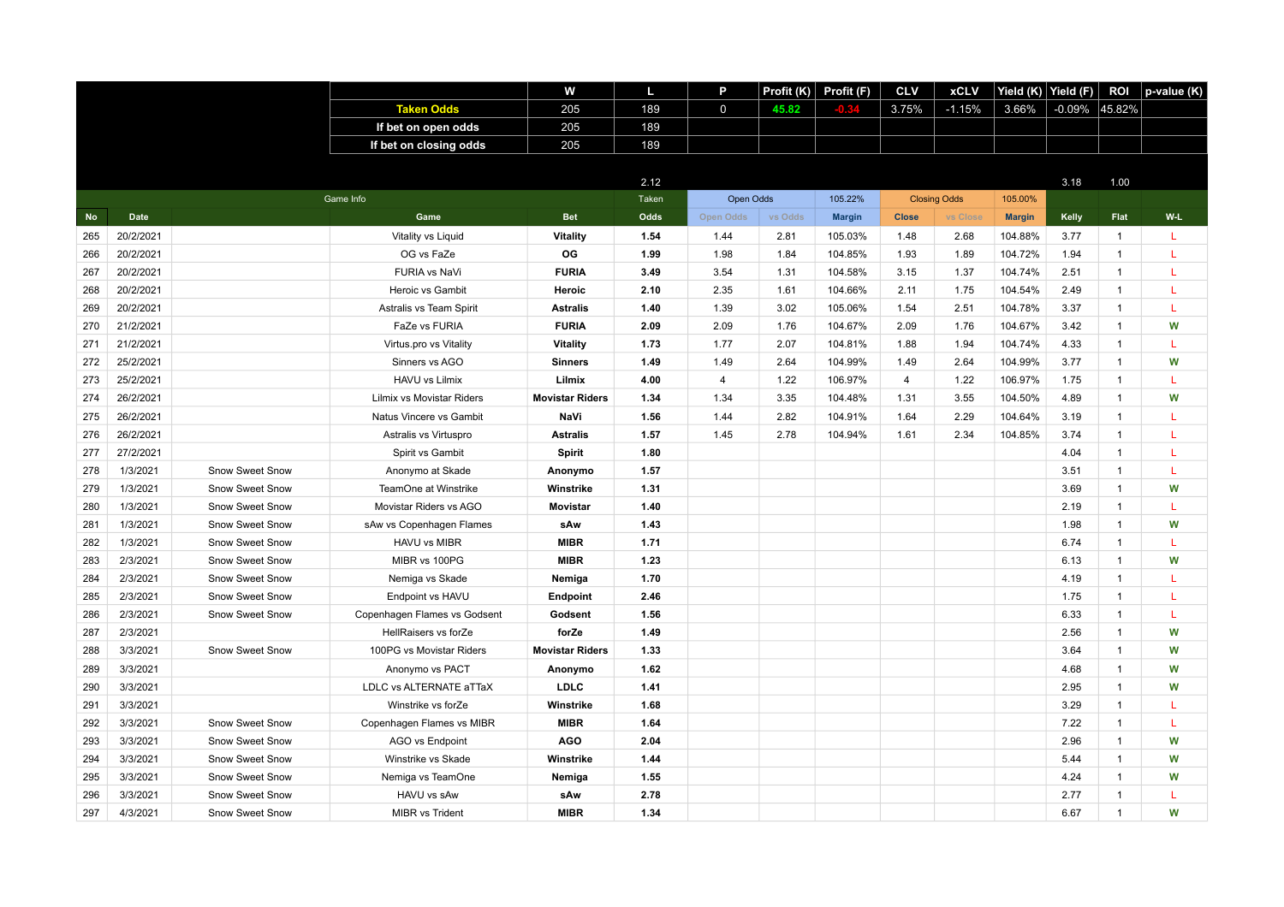|           |             |                 |                              | W                      |       | P              | Profit (K) | Profit (F)    | <b>CLV</b>     | <b>xCLV</b>         | Yield (K)     | Yield (F) | <b>ROI</b>   | p-value (K) |
|-----------|-------------|-----------------|------------------------------|------------------------|-------|----------------|------------|---------------|----------------|---------------------|---------------|-----------|--------------|-------------|
|           |             |                 | <b>Taken Odds</b>            | 205                    | 189   | $\mathbf 0$    | 45.82      | -0.34         | 3.75%          | $-1.15%$            | 3.66%         | $-0.09\%$ | 45.82%       |             |
|           |             |                 | If bet on open odds          | 205                    | 189   |                |            |               |                |                     |               |           |              |             |
|           |             |                 | If bet on closing odds       | 205                    | 189   |                |            |               |                |                     |               |           |              |             |
|           |             |                 |                              |                        |       |                |            |               |                |                     |               |           |              |             |
|           |             |                 |                              |                        | 2.12  |                |            |               |                |                     |               | 3.18      | 1.00         |             |
|           |             |                 | Game Info                    |                        | Taken | Open Odds      |            | 105.22%       |                | <b>Closing Odds</b> | 105.00%       |           |              |             |
| <b>No</b> | <b>Date</b> |                 | Game                         | <b>Bet</b>             | Odds  | Open Odds      | vs Odds    | <b>Margin</b> | <b>Close</b>   | vs Close            | <b>Margin</b> | Kelly     | Flat         | W-L         |
| 265       | 20/2/2021   |                 | Vitality vs Liquid           | <b>Vitality</b>        | 1.54  | 1.44           | 2.81       | 105.03%       | 1.48           | 2.68                | 104.88%       | 3.77      | $\mathbf{1}$ | L           |
| 266       | 20/2/2021   |                 | OG vs FaZe                   | OG                     | 1.99  | 1.98           | 1.84       | 104.85%       | 1.93           | 1.89                | 104.72%       | 1.94      | $\mathbf{1}$ | L           |
| 267       | 20/2/2021   |                 | FURIA vs NaVi                | <b>FURIA</b>           | 3.49  | 3.54           | 1.31       | 104.58%       | 3.15           | 1.37                | 104.74%       | 2.51      | $\mathbf{1}$ | L           |
| 268       | 20/2/2021   |                 | Heroic vs Gambit             | Heroic                 | 2.10  | 2.35           | 1.61       | 104.66%       | 2.11           | 1.75                | 104.54%       | 2.49      | $\mathbf{1}$ | L           |
| 269       | 20/2/2021   |                 | Astralis vs Team Spirit      | <b>Astralis</b>        | 1.40  | 1.39           | 3.02       | 105.06%       | 1.54           | 2.51                | 104.78%       | 3.37      | $\mathbf{1}$ | L           |
| 270       | 21/2/2021   |                 | FaZe vs FURIA                | <b>FURIA</b>           | 2.09  | 2.09           | 1.76       | 104.67%       | 2.09           | 1.76                | 104.67%       | 3.42      | $\mathbf{1}$ | W           |
| 271       | 21/2/2021   |                 | Virtus.pro vs Vitality       | <b>Vitality</b>        | 1.73  | 1.77           | 2.07       | 104.81%       | 1.88           | 1.94                | 104.74%       | 4.33      | $\mathbf{1}$ | L           |
| 272       | 25/2/2021   |                 | Sinners vs AGO               | <b>Sinners</b>         | 1.49  | 1.49           | 2.64       | 104.99%       | 1.49           | 2.64                | 104.99%       | 3.77      | $\mathbf{1}$ | W           |
| 273       | 25/2/2021   |                 | HAVU vs Lilmix               | Lilmix                 | 4.00  | $\overline{4}$ | 1.22       | 106.97%       | $\overline{4}$ | 1.22                | 106.97%       | 1.75      | $\mathbf{1}$ | L           |
| 274       | 26/2/2021   |                 | Lilmix vs Movistar Riders    | <b>Movistar Riders</b> | 1.34  | 1.34           | 3.35       | 104.48%       | 1.31           | 3.55                | 104.50%       | 4.89      | $\mathbf{1}$ | W           |
| 275       | 26/2/2021   |                 | Natus Vincere vs Gambit      | NaVi                   | 1.56  | 1.44           | 2.82       | 104.91%       | 1.64           | 2.29                | 104.64%       | 3.19      | $\mathbf{1}$ | L           |
| 276       | 26/2/2021   |                 | Astralis vs Virtuspro        | <b>Astralis</b>        | 1.57  | 1.45           | 2.78       | 104.94%       | 1.61           | 2.34                | 104.85%       | 3.74      | $\mathbf{1}$ | L           |
| 277       | 27/2/2021   |                 | Spirit vs Gambit             | Spirit                 | 1.80  |                |            |               |                |                     |               | 4.04      | $\mathbf{1}$ | L           |
| 278       | 1/3/2021    | Snow Sweet Snow | Anonymo at Skade             | Anonymo                | 1.57  |                |            |               |                |                     |               | 3.51      | $\mathbf{1}$ | T.          |
| 279       | 1/3/2021    | Snow Sweet Snow | TeamOne at Winstrike         | Winstrike              | 1.31  |                |            |               |                |                     |               | 3.69      | $\mathbf{1}$ | W           |
| 280       | 1/3/2021    | Snow Sweet Snow | Movistar Riders vs AGO       | <b>Movistar</b>        | 1.40  |                |            |               |                |                     |               | 2.19      | $\mathbf{1}$ | L           |
| 281       | 1/3/2021    | Snow Sweet Snow | sAw vs Copenhagen Flames     | sAw                    | 1.43  |                |            |               |                |                     |               | 1.98      | $\mathbf{1}$ | W           |
| 282       | 1/3/2021    | Snow Sweet Snow | HAVU vs MIBR                 | <b>MIBR</b>            | 1.71  |                |            |               |                |                     |               | 6.74      | $\mathbf{1}$ | L           |
| 283       | 2/3/2021    | Snow Sweet Snow | MIBR vs 100PG                | <b>MIBR</b>            | 1.23  |                |            |               |                |                     |               | 6.13      | $\mathbf{1}$ | W           |
| 284       | 2/3/2021    | Snow Sweet Snow | Nemiga vs Skade              | Nemiga                 | 1.70  |                |            |               |                |                     |               | 4.19      | $\mathbf{1}$ | L           |
| 285       | 2/3/2021    | Snow Sweet Snow | Endpoint vs HAVU             | Endpoint               | 2.46  |                |            |               |                |                     |               | 1.75      | $\mathbf{1}$ | L           |
| 286       | 2/3/2021    | Snow Sweet Snow | Copenhagen Flames vs Godsent | Godsent                | 1.56  |                |            |               |                |                     |               | 6.33      | $\mathbf{1}$ | L           |
| 287       | 2/3/2021    |                 | HellRaisers vs forZe         | forZe                  | 1.49  |                |            |               |                |                     |               | 2.56      | $\mathbf{1}$ | W           |
| 288       | 3/3/2021    | Snow Sweet Snow | 100PG vs Movistar Riders     | <b>Movistar Riders</b> | 1.33  |                |            |               |                |                     |               | 3.64      | $\mathbf{1}$ | W           |
| 289       | 3/3/2021    |                 | Anonymo vs PACT              | Anonymo                | 1.62  |                |            |               |                |                     |               | 4.68      | $\mathbf{1}$ | W           |
| 290       | 3/3/2021    |                 | LDLC vs ALTERNATE aTTaX      | LDLC                   | 1.41  |                |            |               |                |                     |               | 2.95      | $\mathbf{1}$ | W           |
| 291       | 3/3/2021    |                 | Winstrike vs forZe           | Winstrike              | 1.68  |                |            |               |                |                     |               | 3.29      | $\mathbf{1}$ | L           |
| 292       | 3/3/2021    | Snow Sweet Snow | Copenhagen Flames vs MIBR    | <b>MIBR</b>            | 1.64  |                |            |               |                |                     |               | 7.22      | $\mathbf{1}$ | L           |
| 293       | 3/3/2021    | Snow Sweet Snow | AGO vs Endpoint              | <b>AGO</b>             | 2.04  |                |            |               |                |                     |               | 2.96      | $\mathbf{1}$ | W           |
| 294       | 3/3/2021    | Snow Sweet Snow | Winstrike vs Skade           | Winstrike              | 1.44  |                |            |               |                |                     |               | 5.44      | $\mathbf{1}$ | W           |
| 295       | 3/3/2021    | Snow Sweet Snow | Nemiga vs TeamOne            | Nemiga                 | 1.55  |                |            |               |                |                     |               | 4.24      | $\mathbf{1}$ | W           |
| 296       | 3/3/2021    | Snow Sweet Snow | HAVU vs sAw                  | sAw                    | 2.78  |                |            |               |                |                     |               | 2.77      | $\mathbf{1}$ | L           |
| 297       | 4/3/2021    | Snow Sweet Snow | MIBR vs Trident              | <b>MIBR</b>            | 1.34  |                |            |               |                |                     |               | 6.67      | $\mathbf{1}$ | W           |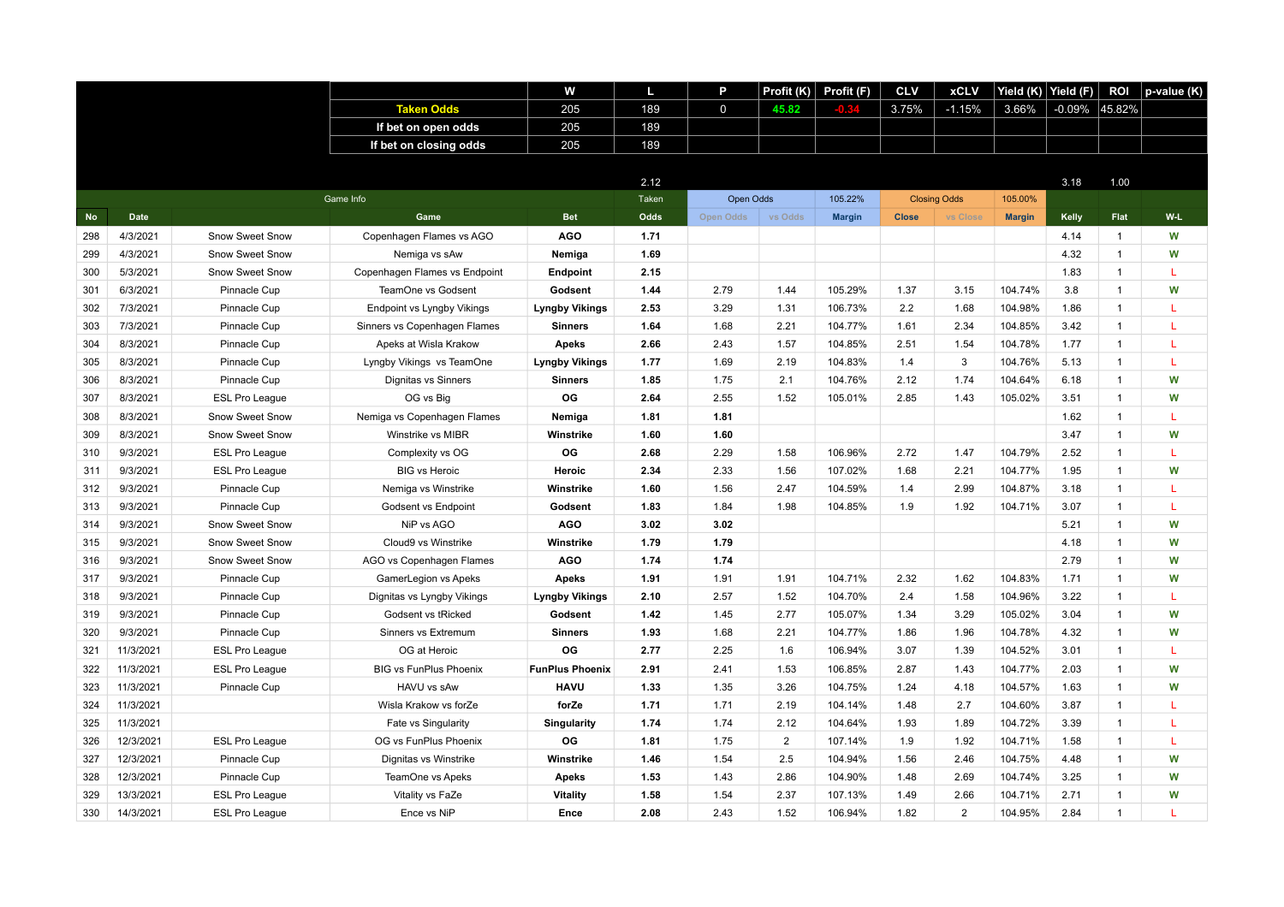|           |           |                        |                                   | w                      | L     | P           | Profit (K)     | Profit (F)    | <b>CLV</b>   | <b>xCLV</b>         | Yield $(\overline{\mathsf{K}})$ | Yield (F) | ROI            | p-value (K) |
|-----------|-----------|------------------------|-----------------------------------|------------------------|-------|-------------|----------------|---------------|--------------|---------------------|---------------------------------|-----------|----------------|-------------|
|           |           |                        | <b>Taken Odds</b>                 | 205                    | 189   | $\mathbf 0$ | 45.82          |               | 3.75%        | $-1.15%$            | 3.66%                           | $-0.09%$  | 45.82%         |             |
|           |           |                        | If bet on open odds               | 205                    | 189   |             |                |               |              |                     |                                 |           |                |             |
|           |           |                        | If bet on closing odds            | 205                    | 189   |             |                |               |              |                     |                                 |           |                |             |
|           |           |                        |                                   |                        |       |             |                |               |              |                     |                                 |           |                |             |
|           |           |                        |                                   |                        | 2.12  |             |                |               |              |                     |                                 | 3.18      | 1.00           |             |
|           |           |                        | Game Info                         |                        | Taken | Open Odds   |                | 105.22%       |              | <b>Closing Odds</b> | 105.00%                         |           |                |             |
| <b>No</b> | Date      |                        | Game                              | <b>Bet</b>             | Odds  | Open Odds   | vs Odds        | <b>Margin</b> | <b>Close</b> | vs Close            | <b>Margin</b>                   | Kelly     | Flat           | W-L         |
| 298       | 4/3/2021  | Snow Sweet Snow        | Copenhagen Flames vs AGO          | <b>AGO</b>             | 1.71  |             |                |               |              |                     |                                 | 4.14      | $\mathbf{1}$   | W           |
| 299       | 4/3/2021  | Snow Sweet Snow        | Nemiga vs sAw                     | Nemiga                 | 1.69  |             |                |               |              |                     |                                 | 4.32      | $\mathbf{1}$   | W           |
| 300       | 5/3/2021  | <b>Snow Sweet Snow</b> | Copenhagen Flames vs Endpoint     | Endpoint               | 2.15  |             |                |               |              |                     |                                 | 1.83      | $\overline{1}$ | L           |
| 301       | 6/3/2021  | Pinnacle Cup           | TeamOne vs Godsent                | Godsent                | 1.44  | 2.79        | 1.44           | 105.29%       | 1.37         | 3.15                | 104.74%                         | 3.8       | $\mathbf{1}$   | W           |
| 302       | 7/3/2021  | Pinnacle Cup           | <b>Endpoint vs Lyngby Vikings</b> | <b>Lyngby Vikings</b>  | 2.53  | 3.29        | 1.31           | 106.73%       | 2.2          | 1.68                | 104.98%                         | 1.86      | $\mathbf{1}$   | L           |
| 303       | 7/3/2021  | Pinnacle Cup           | Sinners vs Copenhagen Flames      | <b>Sinners</b>         | 1.64  | 1.68        | 2.21           | 104.77%       | 1.61         | 2.34                | 104.85%                         | 3.42      | $\mathbf{1}$   | L           |
| 304       | 8/3/2021  | Pinnacle Cup           | Apeks at Wisla Krakow             | <b>Apeks</b>           | 2.66  | 2.43        | 1.57           | 104.85%       | 2.51         | 1.54                | 104.78%                         | 1.77      | $\mathbf{1}$   | L           |
| 305       | 8/3/2021  | Pinnacle Cup           | Lyngby Vikings vs TeamOne         | <b>Lyngby Vikings</b>  | 1.77  | 1.69        | 2.19           | 104.83%       | 1.4          | 3                   | 104.76%                         | 5.13      | $\overline{1}$ | L           |
| 306       | 8/3/2021  | Pinnacle Cup           | Dignitas vs Sinners               | <b>Sinners</b>         | 1.85  | 1.75        | 2.1            | 104.76%       | 2.12         | 1.74                | 104.64%                         | 6.18      | $\mathbf{1}$   | W           |
| 307       | 8/3/2021  | <b>ESL Pro League</b>  | OG vs Big                         | OG                     | 2.64  | 2.55        | 1.52           | 105.01%       | 2.85         | 1.43                | 105.02%                         | 3.51      | $\mathbf{1}$   | W           |
| 308       | 8/3/2021  | Snow Sweet Snow        | Nemiga vs Copenhagen Flames       | Nemiga                 | 1.81  | 1.81        |                |               |              |                     |                                 | 1.62      | $\overline{1}$ | L           |
| 309       | 8/3/2021  | Snow Sweet Snow        | Winstrike vs MIBR                 | Winstrike              | 1.60  | 1.60        |                |               |              |                     |                                 | 3.47      | $\mathbf{1}$   | W           |
| 310       | 9/3/2021  | <b>ESL Pro League</b>  | Complexity vs OG                  | OG                     | 2.68  | 2.29        | 1.58           | 106.96%       | 2.72         | 1.47                | 104.79%                         | 2.52      | $\overline{1}$ | L           |
| 311       | 9/3/2021  | <b>ESL Pro League</b>  | <b>BIG vs Heroic</b>              | Heroic                 | 2.34  | 2.33        | 1.56           | 107.02%       | 1.68         | 2.21                | 104.77%                         | 1.95      | $\overline{1}$ | W           |
| 312       | 9/3/2021  | Pinnacle Cup           | Nemiga vs Winstrike               | Winstrike              | 1.60  | 1.56        | 2.47           | 104.59%       | 1.4          | 2.99                | 104.87%                         | 3.18      | $\mathbf{1}$   | L           |
| 313       | 9/3/2021  | Pinnacle Cup           | Godsent vs Endpoint               | Godsent                | 1.83  | 1.84        | 1.98           | 104.85%       | 1.9          | 1.92                | 104.71%                         | 3.07      | $\mathbf{1}$   | L           |
| 314       | 9/3/2021  | Snow Sweet Snow        | NiP vs AGO                        | <b>AGO</b>             | 3.02  | 3.02        |                |               |              |                     |                                 | 5.21      | $\mathbf{1}$   | W           |
| 315       | 9/3/2021  | Snow Sweet Snow        | Cloud9 vs Winstrike               | Winstrike              | 1.79  | 1.79        |                |               |              |                     |                                 | 4.18      | $\mathbf{1}$   | W           |
| 316       | 9/3/2021  | Snow Sweet Snow        | AGO vs Copenhagen Flames          | <b>AGO</b>             | 1.74  | 1.74        |                |               |              |                     |                                 | 2.79      | $\overline{1}$ | W           |
| 317       | 9/3/2021  | Pinnacle Cup           | GamerLegion vs Apeks              | <b>Apeks</b>           | 1.91  | 1.91        | 1.91           | 104.71%       | 2.32         | 1.62                | 104.83%                         | 1.71      | $\mathbf{1}$   | W           |
| 318       | 9/3/2021  | Pinnacle Cup           | Dignitas vs Lyngby Vikings        | <b>Lyngby Vikings</b>  | 2.10  | 2.57        | 1.52           | 104.70%       | 2.4          | 1.58                | 104.96%                         | 3.22      | $\mathbf{1}$   | L           |
| 319       | 9/3/2021  | Pinnacle Cup           | Godsent vs tRicked                | Godsent                | 1.42  | 1.45        | 2.77           | 105.07%       | 1.34         | 3.29                | 105.02%                         | 3.04      | $\mathbf{1}$   | W           |
| 320       | 9/3/2021  | Pinnacle Cup           | Sinners vs Extremum               | <b>Sinners</b>         | 1.93  | 1.68        | 2.21           | 104.77%       | 1.86         | 1.96                | 104.78%                         | 4.32      | $\mathbf{1}$   | W           |
| 321       | 11/3/2021 | <b>ESL Pro League</b>  | OG at Heroic                      | OG                     | 2.77  | 2.25        | 1.6            | 106.94%       | 3.07         | 1.39                | 104.52%                         | 3.01      | $\overline{1}$ | L           |
| 322       | 11/3/2021 | <b>ESL Pro League</b>  | <b>BIG vs FunPlus Phoenix</b>     | <b>FunPlus Phoenix</b> | 2.91  | 2.41        | 1.53           | 106.85%       | 2.87         | 1.43                | 104.77%                         | 2.03      | $\mathbf{1}$   | W           |
| 323       | 11/3/2021 | Pinnacle Cup           | HAVU vs sAw                       | <b>HAVU</b>            | 1.33  | 1.35        | 3.26           | 104.75%       | 1.24         | 4.18                | 104.57%                         | 1.63      | $\mathbf{1}$   | W           |
| 324       | 11/3/2021 |                        | Wisla Krakow vs forZe             | forZe                  | 1.71  | 1.71        | 2.19           | 104.14%       | 1.48         | 2.7                 | 104.60%                         | 3.87      | $\mathbf{1}$   | L           |
| 325       | 11/3/2021 |                        | Fate vs Singularity               | Singularity            | 1.74  | 1.74        | 2.12           | 104.64%       | 1.93         | 1.89                | 104.72%                         | 3.39      | $\mathbf{1}$   | L           |
| 326       | 12/3/2021 | <b>ESL Pro League</b>  | OG vs FunPlus Phoenix             | OG                     | 1.81  | 1.75        | $\overline{2}$ | 107.14%       | 1.9          | 1.92                | 104.71%                         | 1.58      | $\mathbf{1}$   | L           |
| 327       | 12/3/2021 | Pinnacle Cup           | Dignitas vs Winstrike             | Winstrike              | 1.46  | 1.54        | 2.5            | 104.94%       | 1.56         | 2.46                | 104.75%                         | 4.48      | $\overline{1}$ | W           |
| 328       | 12/3/2021 | Pinnacle Cup           | TeamOne vs Apeks                  | <b>Apeks</b>           | 1.53  | 1.43        | 2.86           | 104.90%       | 1.48         | 2.69                | 104.74%                         | 3.25      | $\mathbf{1}$   | W           |
| 329       | 13/3/2021 | <b>ESL Pro League</b>  | Vitality vs FaZe                  | <b>Vitality</b>        | 1.58  | 1.54        | 2.37           | 107.13%       | 1.49         | 2.66                | 104.71%                         | 2.71      | $\mathbf{1}$   | W           |
| 330       | 14/3/2021 | <b>ESL Pro League</b>  | Ence vs NiP                       | Ence                   | 2.08  | 2.43        | 1.52           | 106.94%       | 1.82         | 2                   | 104.95%                         | 2.84      | $\overline{1}$ | т           |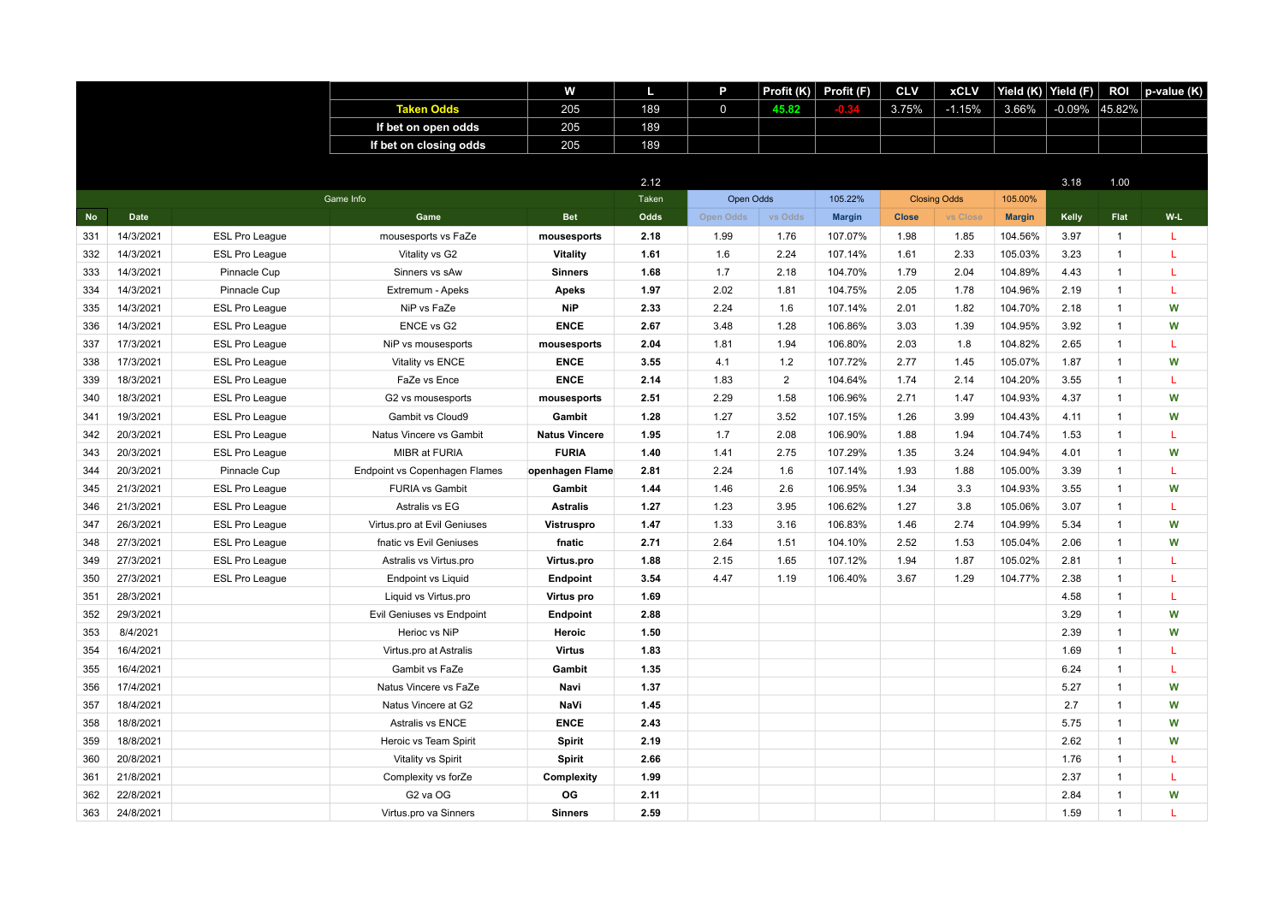|           |           |                       |                                  | w                    | L     | P            | Profit $(K)$   | Profit (F)    | <b>CLV</b>   | <b>xCLV</b>         | Yield (K)     | Yield (F) | <b>ROI</b>   | p-value (K) |
|-----------|-----------|-----------------------|----------------------------------|----------------------|-------|--------------|----------------|---------------|--------------|---------------------|---------------|-----------|--------------|-------------|
|           |           |                       | <b>Taken Odds</b>                | 205                  | 189   | $\mathsf{O}$ | 45.82          |               | 3.75%        | $-1.15%$            | 3.66%         | $-0.09\%$ | 45.82%       |             |
|           |           |                       | If bet on open odds              | 205                  | 189   |              |                |               |              |                     |               |           |              |             |
|           |           |                       | If bet on closing odds           | 205                  | 189   |              |                |               |              |                     |               |           |              |             |
|           |           |                       |                                  |                      |       |              |                |               |              |                     |               |           |              |             |
|           |           |                       |                                  |                      | 2.12  |              |                |               |              |                     |               | 3.18      | 1.00         |             |
|           |           |                       | Game Info                        |                      | Taken | Open Odds    |                | 105.22%       |              | <b>Closing Odds</b> | 105.00%       |           |              |             |
| <b>No</b> | Date      |                       | Game                             | <b>Bet</b>           | Odds  | Open Odds    | vs Odds        | <b>Margin</b> | <b>Close</b> | vs Close            | <b>Margin</b> | Kelly     | Flat         | W-L         |
| 331       | 14/3/2021 | <b>ESL Pro League</b> | mousesports vs FaZe              | mousesports          | 2.18  | 1.99         | 1.76           | 107.07%       | 1.98         | 1.85                | 104.56%       | 3.97      | $\mathbf{1}$ | L           |
| 332       | 14/3/2021 | <b>ESL Pro League</b> | Vitality vs G2                   | Vitality             | 1.61  | 1.6          | 2.24           | 107.14%       | 1.61         | 2.33                | 105.03%       | 3.23      | $\mathbf{1}$ | L           |
| 333       | 14/3/2021 | Pinnacle Cup          | Sinners vs sAw                   | <b>Sinners</b>       | 1.68  | 1.7          | 2.18           | 104.70%       | 1.79         | 2.04                | 104.89%       | 4.43      | $\mathbf{1}$ | L           |
| 334       | 14/3/2021 | Pinnacle Cup          | Extremum - Apeks                 | <b>Apeks</b>         | 1.97  | 2.02         | 1.81           | 104.75%       | 2.05         | 1.78                | 104.96%       | 2.19      | $\mathbf{1}$ | L           |
| 335       | 14/3/2021 | <b>ESL Pro League</b> | NiP vs FaZe                      | <b>NiP</b>           | 2.33  | 2.24         | 1.6            | 107.14%       | 2.01         | 1.82                | 104.70%       | 2.18      | $\mathbf{1}$ | W           |
| 336       | 14/3/2021 | <b>ESL Pro League</b> | ENCE vs G2                       | <b>ENCE</b>          | 2.67  | 3.48         | 1.28           | 106.86%       | 3.03         | 1.39                | 104.95%       | 3.92      | $\mathbf{1}$ | W           |
| 337       | 17/3/2021 | <b>ESL Pro League</b> | NiP vs mousesports               | mousesports          | 2.04  | 1.81         | 1.94           | 106.80%       | 2.03         | 1.8                 | 104.82%       | 2.65      | $\mathbf{1}$ | L           |
| 338       | 17/3/2021 | <b>ESL Pro League</b> | Vitality vs ENCE                 | <b>ENCE</b>          | 3.55  | 4.1          | 1.2            | 107.72%       | 2.77         | 1.45                | 105.07%       | 1.87      | $\mathbf{1}$ | W           |
| 339       | 18/3/2021 | <b>ESL Pro League</b> | FaZe vs Ence                     | <b>ENCE</b>          | 2.14  | 1.83         | $\overline{2}$ | 104.64%       | 1.74         | 2.14                | 104.20%       | 3.55      | $\mathbf{1}$ | L           |
| 340       | 18/3/2021 | <b>ESL Pro League</b> | G2 vs mousesports                | mousesports          | 2.51  | 2.29         | 1.58           | 106.96%       | 2.71         | 1.47                | 104.93%       | 4.37      | $\mathbf{1}$ | W           |
| 341       | 19/3/2021 | <b>ESL Pro League</b> | Gambit vs Cloud9                 | Gambit               | 1.28  | 1.27         | 3.52           | 107.15%       | 1.26         | 3.99                | 104.43%       | 4.11      | $\mathbf{1}$ | W           |
| 342       | 20/3/2021 | <b>ESL Pro League</b> | Natus Vincere vs Gambit          | <b>Natus Vincere</b> | 1.95  | 1.7          | 2.08           | 106.90%       | 1.88         | 1.94                | 104.74%       | 1.53      | $\mathbf{1}$ | L           |
| 343       | 20/3/2021 | <b>ESL Pro League</b> | MIBR at FURIA                    | <b>FURIA</b>         | 1.40  | 1.41         | 2.75           | 107.29%       | 1.35         | 3.24                | 104.94%       | 4.01      | $\mathbf{1}$ | W           |
| 344       | 20/3/2021 | Pinnacle Cup          | Endpoint vs Copenhagen Flames    | openhagen Flame      | 2.81  | 2.24         | 1.6            | 107.14%       | 1.93         | 1.88                | 105.00%       | 3.39      | $\mathbf{1}$ | L           |
| 345       | 21/3/2021 | <b>ESL Pro League</b> | <b>FURIA vs Gambit</b>           | Gambit               | 1.44  | 1.46         | 2.6            | 106.95%       | 1.34         | 3.3                 | 104.93%       | 3.55      | $\mathbf{1}$ | W           |
| 346       | 21/3/2021 | <b>ESL Pro League</b> | Astralis vs EG                   | <b>Astralis</b>      | 1.27  | 1.23         | 3.95           | 106.62%       | 1.27         | 3.8                 | 105.06%       | 3.07      | $\mathbf{1}$ | L           |
| 347       | 26/3/2021 | <b>ESL Pro League</b> | Virtus.pro at Evil Geniuses      | <b>Vistruspro</b>    | 1.47  | 1.33         | 3.16           | 106.83%       | 1.46         | 2.74                | 104.99%       | 5.34      | $\mathbf{1}$ | W           |
| 348       | 27/3/2021 | <b>ESL Pro League</b> | fnatic vs Evil Geniuses          | fnatic               | 2.71  | 2.64         | 1.51           | 104.10%       | 2.52         | 1.53                | 105.04%       | 2.06      | $\mathbf{1}$ | W           |
| 349       | 27/3/2021 | <b>ESL Pro League</b> | Astralis vs Virtus.pro           | Virtus.pro           | 1.88  | 2.15         | 1.65           | 107.12%       | 1.94         | 1.87                | 105.02%       | 2.81      | $\mathbf{1}$ | T           |
| 350       | 27/3/2021 | <b>ESL Pro League</b> | <b>Endpoint vs Liquid</b>        | Endpoint             | 3.54  | 4.47         | 1.19           | 106.40%       | 3.67         | 1.29                | 104.77%       | 2.38      | $\mathbf{1}$ | L           |
| 351       | 28/3/2021 |                       | Liquid vs Virtus.pro             | Virtus pro           | 1.69  |              |                |               |              |                     |               | 4.58      | $\mathbf{1}$ | L           |
| 352       | 29/3/2021 |                       | Evil Geniuses vs Endpoint        | Endpoint             | 2.88  |              |                |               |              |                     |               | 3.29      | $\mathbf{1}$ | W           |
| 353       | 8/4/2021  |                       | Herioc vs NiP                    | Heroic               | 1.50  |              |                |               |              |                     |               | 2.39      | $\mathbf{1}$ | W           |
| 354       | 16/4/2021 |                       | Virtus.pro at Astralis           | <b>Virtus</b>        | 1.83  |              |                |               |              |                     |               | 1.69      | $\mathbf{1}$ | L           |
| 355       | 16/4/2021 |                       | Gambit vs FaZe                   | Gambit               | 1.35  |              |                |               |              |                     |               | 6.24      | $\mathbf{1}$ | L           |
| 356       | 17/4/2021 |                       | Natus Vincere vs FaZe            | Navi                 | 1.37  |              |                |               |              |                     |               | 5.27      | $\mathbf{1}$ | W           |
| 357       | 18/4/2021 |                       | Natus Vincere at G2              | NaVi                 | 1.45  |              |                |               |              |                     |               | 2.7       | $\mathbf{1}$ | W           |
| 358       | 18/8/2021 |                       | Astralis vs ENCE                 | <b>ENCE</b>          | 2.43  |              |                |               |              |                     |               | 5.75      | $\mathbf{1}$ | W           |
| 359       | 18/8/2021 |                       | Heroic vs Team Spirit            | Spirit               | 2.19  |              |                |               |              |                     |               | 2.62      | $\mathbf{1}$ | W           |
| 360       | 20/8/2021 |                       | Vitality vs Spirit               | Spirit               | 2.66  |              |                |               |              |                     |               | 1.76      | $\mathbf{1}$ | T           |
| 361       | 21/8/2021 |                       | Complexity vs forZe              | Complexity           | 1.99  |              |                |               |              |                     |               | 2.37      | $\mathbf{1}$ | L           |
| 362       | 22/8/2021 |                       | G <sub>2</sub> va O <sub>G</sub> | OG                   | 2.11  |              |                |               |              |                     |               | 2.84      | $\mathbf{1}$ | W           |
| 363       | 24/8/2021 |                       | Virtus.pro va Sinners            | <b>Sinners</b>       | 2.59  |              |                |               |              |                     |               | 1.59      | $\mathbf{1}$ | т           |